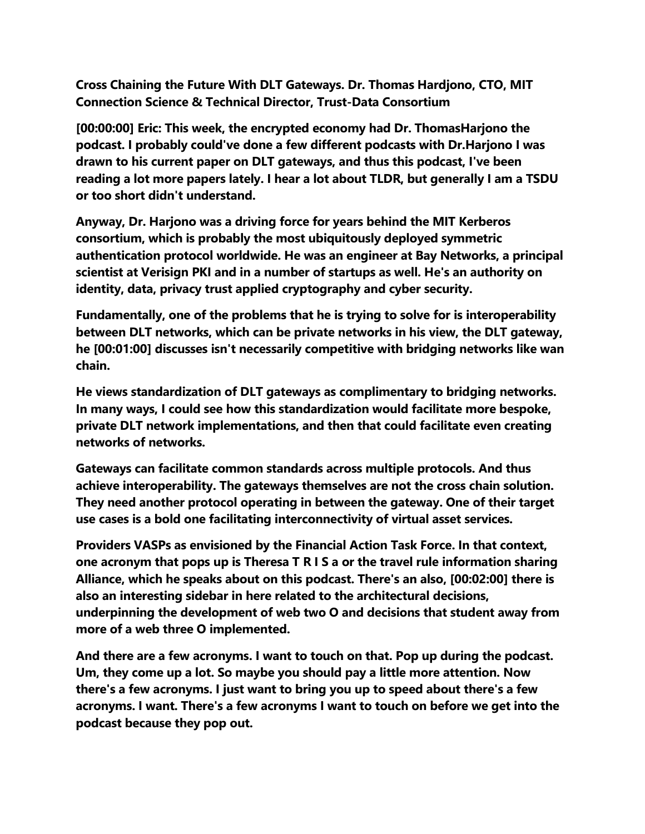**Cross Chaining the Future With DLT Gateways. Dr. Thomas Hardjono, CTO, MIT Connection Science & Technical Director, Trust-Data Consortium**

**[00:00:00] Eric: This week, the encrypted economy had Dr. ThomasHarjono the podcast. I probably could've done a few different podcasts with Dr.Harjono I was drawn to his current paper on DLT gateways, and thus this podcast, I've been reading a lot more papers lately. I hear a lot about TLDR, but generally I am a TSDU or too short didn't understand.**

**Anyway, Dr. Harjono was a driving force for years behind the MIT Kerberos consortium, which is probably the most ubiquitously deployed symmetric authentication protocol worldwide. He was an engineer at Bay Networks, a principal scientist at Verisign PKI and in a number of startups as well. He's an authority on identity, data, privacy trust applied cryptography and cyber security.**

**Fundamentally, one of the problems that he is trying to solve for is interoperability between DLT networks, which can be private networks in his view, the DLT gateway, he [00:01:00] discusses isn't necessarily competitive with bridging networks like wan chain.**

**He views standardization of DLT gateways as complimentary to bridging networks. In many ways, I could see how this standardization would facilitate more bespoke, private DLT network implementations, and then that could facilitate even creating networks of networks.**

**Gateways can facilitate common standards across multiple protocols. And thus achieve interoperability. The gateways themselves are not the cross chain solution. They need another protocol operating in between the gateway. One of their target use cases is a bold one facilitating interconnectivity of virtual asset services.**

**Providers VASPs as envisioned by the Financial Action Task Force. In that context, one acronym that pops up is Theresa T R I S a or the travel rule information sharing Alliance, which he speaks about on this podcast. There's an also, [00:02:00] there is also an interesting sidebar in here related to the architectural decisions, underpinning the development of web two O and decisions that student away from more of a web three O implemented.**

**And there are a few acronyms. I want to touch on that. Pop up during the podcast. Um, they come up a lot. So maybe you should pay a little more attention. Now there's a few acronyms. I just want to bring you up to speed about there's a few acronyms. I want. There's a few acronyms I want to touch on before we get into the podcast because they pop out.**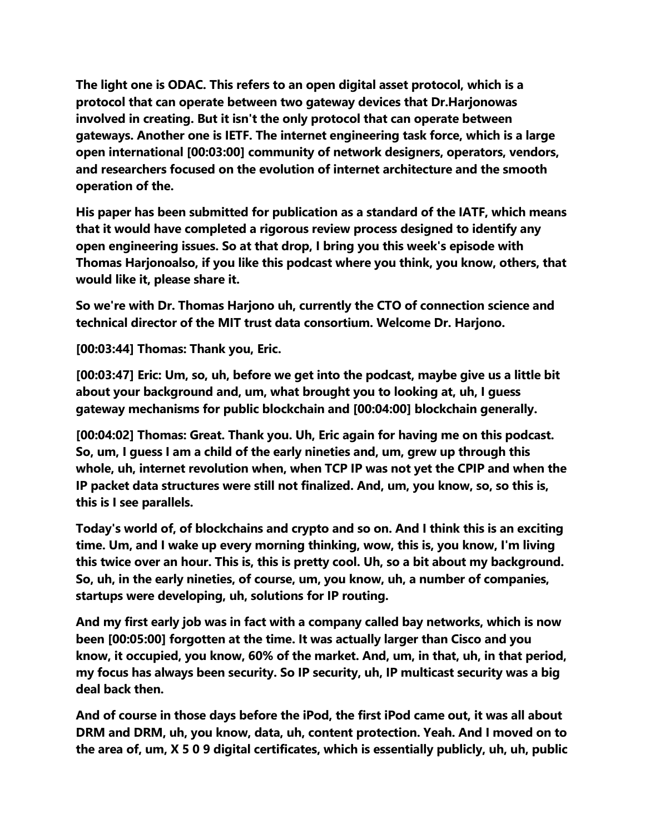**The light one is ODAC. This refers to an open digital asset protocol, which is a protocol that can operate between two gateway devices that Dr.Harjonowas involved in creating. But it isn't the only protocol that can operate between gateways. Another one is IETF. The internet engineering task force, which is a large open international [00:03:00] community of network designers, operators, vendors, and researchers focused on the evolution of internet architecture and the smooth operation of the.**

**His paper has been submitted for publication as a standard of the IATF, which means that it would have completed a rigorous review process designed to identify any open engineering issues. So at that drop, I bring you this week's episode with Thomas Harjonoalso, if you like this podcast where you think, you know, others, that would like it, please share it.**

**So we're with Dr. Thomas Harjono uh, currently the CTO of connection science and technical director of the MIT trust data consortium. Welcome Dr. Harjono.**

**[00:03:44] Thomas: Thank you, Eric.**

**[00:03:47] Eric: Um, so, uh, before we get into the podcast, maybe give us a little bit about your background and, um, what brought you to looking at, uh, I guess gateway mechanisms for public blockchain and [00:04:00] blockchain generally.**

**[00:04:02] Thomas: Great. Thank you. Uh, Eric again for having me on this podcast. So, um, I guess I am a child of the early nineties and, um, grew up through this whole, uh, internet revolution when, when TCP IP was not yet the CPIP and when the IP packet data structures were still not finalized. And, um, you know, so, so this is, this is I see parallels.**

**Today's world of, of blockchains and crypto and so on. And I think this is an exciting time. Um, and I wake up every morning thinking, wow, this is, you know, I'm living this twice over an hour. This is, this is pretty cool. Uh, so a bit about my background. So, uh, in the early nineties, of course, um, you know, uh, a number of companies, startups were developing, uh, solutions for IP routing.**

**And my first early job was in fact with a company called bay networks, which is now been [00:05:00] forgotten at the time. It was actually larger than Cisco and you know, it occupied, you know, 60% of the market. And, um, in that, uh, in that period, my focus has always been security. So IP security, uh, IP multicast security was a big deal back then.**

**And of course in those days before the iPod, the first iPod came out, it was all about DRM and DRM, uh, you know, data, uh, content protection. Yeah. And I moved on to the area of, um, X 5 0 9 digital certificates, which is essentially publicly, uh, uh, public**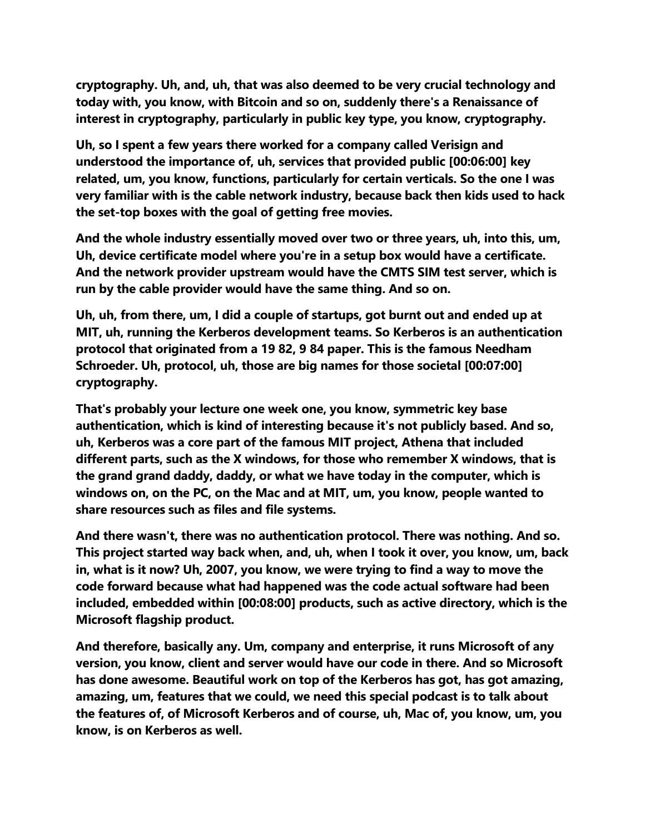**cryptography. Uh, and, uh, that was also deemed to be very crucial technology and today with, you know, with Bitcoin and so on, suddenly there's a Renaissance of interest in cryptography, particularly in public key type, you know, cryptography.**

**Uh, so I spent a few years there worked for a company called Verisign and understood the importance of, uh, services that provided public [00:06:00] key related, um, you know, functions, particularly for certain verticals. So the one I was very familiar with is the cable network industry, because back then kids used to hack the set-top boxes with the goal of getting free movies.**

**And the whole industry essentially moved over two or three years, uh, into this, um, Uh, device certificate model where you're in a setup box would have a certificate. And the network provider upstream would have the CMTS SIM test server, which is run by the cable provider would have the same thing. And so on.**

**Uh, uh, from there, um, I did a couple of startups, got burnt out and ended up at MIT, uh, running the Kerberos development teams. So Kerberos is an authentication protocol that originated from a 19 82, 9 84 paper. This is the famous Needham Schroeder. Uh, protocol, uh, those are big names for those societal [00:07:00] cryptography.**

**That's probably your lecture one week one, you know, symmetric key base authentication, which is kind of interesting because it's not publicly based. And so, uh, Kerberos was a core part of the famous MIT project, Athena that included different parts, such as the X windows, for those who remember X windows, that is the grand grand daddy, daddy, or what we have today in the computer, which is windows on, on the PC, on the Mac and at MIT, um, you know, people wanted to share resources such as files and file systems.**

**And there wasn't, there was no authentication protocol. There was nothing. And so. This project started way back when, and, uh, when I took it over, you know, um, back in, what is it now? Uh, 2007, you know, we were trying to find a way to move the code forward because what had happened was the code actual software had been included, embedded within [00:08:00] products, such as active directory, which is the Microsoft flagship product.**

**And therefore, basically any. Um, company and enterprise, it runs Microsoft of any version, you know, client and server would have our code in there. And so Microsoft has done awesome. Beautiful work on top of the Kerberos has got, has got amazing, amazing, um, features that we could, we need this special podcast is to talk about the features of, of Microsoft Kerberos and of course, uh, Mac of, you know, um, you know, is on Kerberos as well.**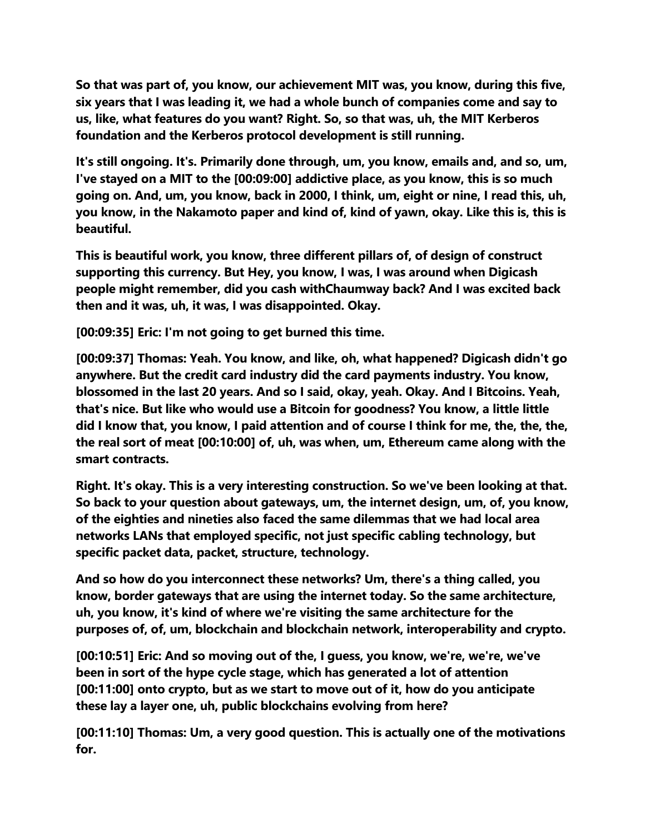**So that was part of, you know, our achievement MIT was, you know, during this five, six years that I was leading it, we had a whole bunch of companies come and say to us, like, what features do you want? Right. So, so that was, uh, the MIT Kerberos foundation and the Kerberos protocol development is still running.**

**It's still ongoing. It's. Primarily done through, um, you know, emails and, and so, um, I've stayed on a MIT to the [00:09:00] addictive place, as you know, this is so much going on. And, um, you know, back in 2000, I think, um, eight or nine, I read this, uh, you know, in the Nakamoto paper and kind of, kind of yawn, okay. Like this is, this is beautiful.**

**This is beautiful work, you know, three different pillars of, of design of construct supporting this currency. But Hey, you know, I was, I was around when Digicash people might remember, did you cash withChaumway back? And I was excited back then and it was, uh, it was, I was disappointed. Okay.**

**[00:09:35] Eric: I'm not going to get burned this time.**

**[00:09:37] Thomas: Yeah. You know, and like, oh, what happened? Digicash didn't go anywhere. But the credit card industry did the card payments industry. You know, blossomed in the last 20 years. And so I said, okay, yeah. Okay. And I Bitcoins. Yeah, that's nice. But like who would use a Bitcoin for goodness? You know, a little little did I know that, you know, I paid attention and of course I think for me, the, the, the, the real sort of meat [00:10:00] of, uh, was when, um, Ethereum came along with the smart contracts.**

**Right. It's okay. This is a very interesting construction. So we've been looking at that. So back to your question about gateways, um, the internet design, um, of, you know, of the eighties and nineties also faced the same dilemmas that we had local area networks LANs that employed specific, not just specific cabling technology, but specific packet data, packet, structure, technology.**

**And so how do you interconnect these networks? Um, there's a thing called, you know, border gateways that are using the internet today. So the same architecture, uh, you know, it's kind of where we're visiting the same architecture for the purposes of, of, um, blockchain and blockchain network, interoperability and crypto.**

**[00:10:51] Eric: And so moving out of the, I guess, you know, we're, we're, we've been in sort of the hype cycle stage, which has generated a lot of attention [00:11:00] onto crypto, but as we start to move out of it, how do you anticipate these lay a layer one, uh, public blockchains evolving from here?**

**[00:11:10] Thomas: Um, a very good question. This is actually one of the motivations for.**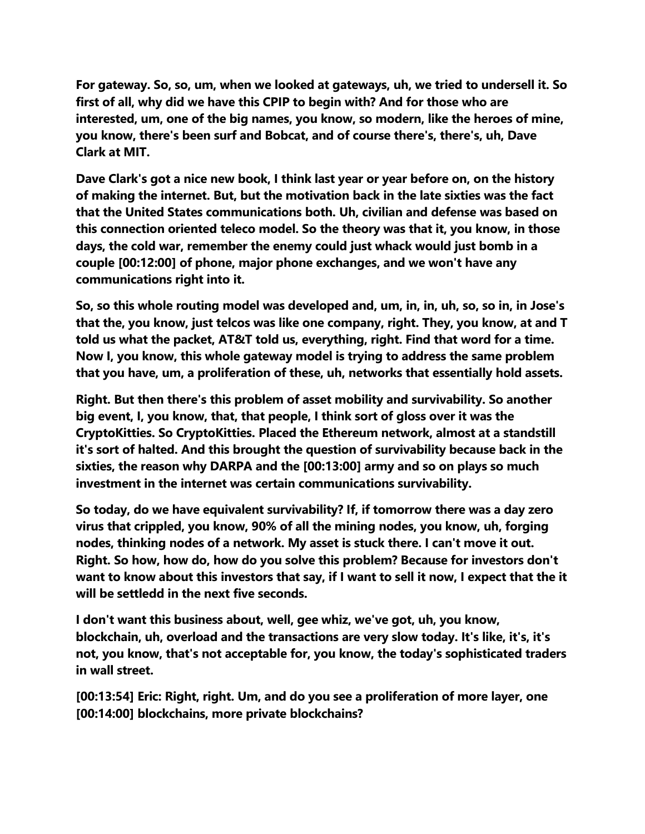**For gateway. So, so, um, when we looked at gateways, uh, we tried to undersell it. So first of all, why did we have this CPIP to begin with? And for those who are interested, um, one of the big names, you know, so modern, like the heroes of mine, you know, there's been surf and Bobcat, and of course there's, there's, uh, Dave Clark at MIT.**

**Dave Clark's got a nice new book, I think last year or year before on, on the history of making the internet. But, but the motivation back in the late sixties was the fact that the United States communications both. Uh, civilian and defense was based on this connection oriented teleco model. So the theory was that it, you know, in those days, the cold war, remember the enemy could just whack would just bomb in a couple [00:12:00] of phone, major phone exchanges, and we won't have any communications right into it.**

**So, so this whole routing model was developed and, um, in, in, uh, so, so in, in Jose's that the, you know, just telcos was like one company, right. They, you know, at and T told us what the packet, AT&T told us, everything, right. Find that word for a time. Now I, you know, this whole gateway model is trying to address the same problem that you have, um, a proliferation of these, uh, networks that essentially hold assets.**

**Right. But then there's this problem of asset mobility and survivability. So another big event, I, you know, that, that people, I think sort of gloss over it was the CryptoKitties. So CryptoKitties. Placed the Ethereum network, almost at a standstill it's sort of halted. And this brought the question of survivability because back in the sixties, the reason why DARPA and the [00:13:00] army and so on plays so much investment in the internet was certain communications survivability.**

**So today, do we have equivalent survivability? If, if tomorrow there was a day zero virus that crippled, you know, 90% of all the mining nodes, you know, uh, forging nodes, thinking nodes of a network. My asset is stuck there. I can't move it out. Right. So how, how do, how do you solve this problem? Because for investors don't want to know about this investors that say, if I want to sell it now, I expect that the it will be settledd in the next five seconds.**

**I don't want this business about, well, gee whiz, we've got, uh, you know, blockchain, uh, overload and the transactions are very slow today. It's like, it's, it's not, you know, that's not acceptable for, you know, the today's sophisticated traders in wall street.**

**[00:13:54] Eric: Right, right. Um, and do you see a proliferation of more layer, one [00:14:00] blockchains, more private blockchains?**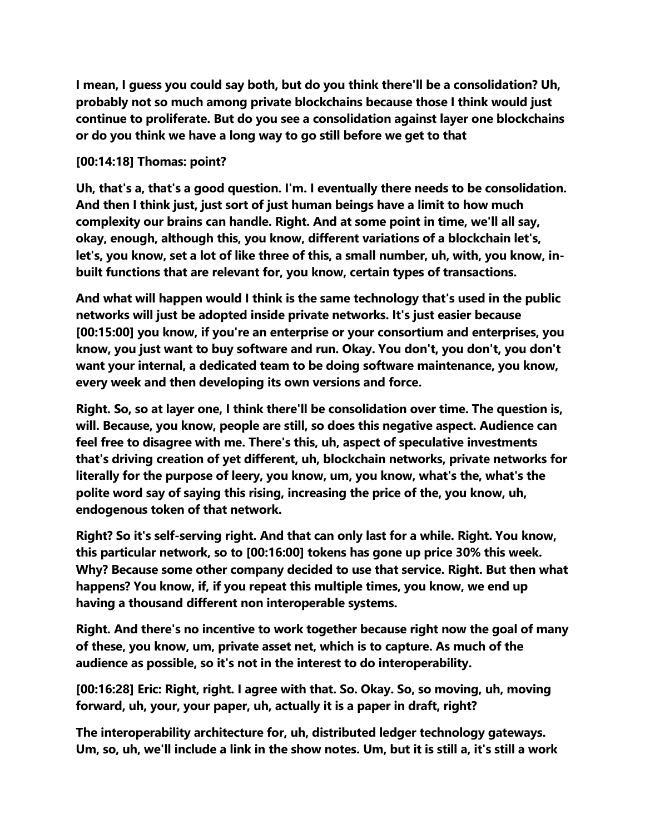**I mean, I guess you could say both, but do you think there'll be a consolidation? Uh, probably not so much among private blockchains because those I think would just continue to proliferate. But do you see a consolidation against layer one blockchains or do you think we have a long way to go still before we get to that**

## **[00:14:18] Thomas: point?**

**Uh, that's a, that's a good question. I'm. I eventually there needs to be consolidation. And then I think just, just sort of just human beings have a limit to how much complexity our brains can handle. Right. And at some point in time, we'll all say, okay, enough, although this, you know, different variations of a blockchain let's, let's, you know, set a lot of like three of this, a small number, uh, with, you know, inbuilt functions that are relevant for, you know, certain types of transactions.**

**And what will happen would I think is the same technology that's used in the public networks will just be adopted inside private networks. It's just easier because [00:15:00] you know, if you're an enterprise or your consortium and enterprises, you know, you just want to buy software and run. Okay. You don't, you don't, you don't want your internal, a dedicated team to be doing software maintenance, you know, every week and then developing its own versions and force.**

**Right. So, so at layer one, I think there'll be consolidation over time. The question is, will. Because, you know, people are still, so does this negative aspect. Audience can feel free to disagree with me. There's this, uh, aspect of speculative investments that's driving creation of yet different, uh, blockchain networks, private networks for literally for the purpose of leery, you know, um, you know, what's the, what's the polite word say of saying this rising, increasing the price of the, you know, uh, endogenous token of that network.**

**Right? So it's self-serving right. And that can only last for a while. Right. You know, this particular network, so to [00:16:00] tokens has gone up price 30% this week. Why? Because some other company decided to use that service. Right. But then what happens? You know, if, if you repeat this multiple times, you know, we end up having a thousand different non interoperable systems.**

**Right. And there's no incentive to work together because right now the goal of many of these, you know, um, private asset net, which is to capture. As much of the audience as possible, so it's not in the interest to do interoperability.**

**[00:16:28] Eric: Right, right. I agree with that. So. Okay. So, so moving, uh, moving forward, uh, your, your paper, uh, actually it is a paper in draft, right?**

**The interoperability architecture for, uh, distributed ledger technology gateways. Um, so, uh, we'll include a link in the show notes. Um, but it is still a, it's still a work**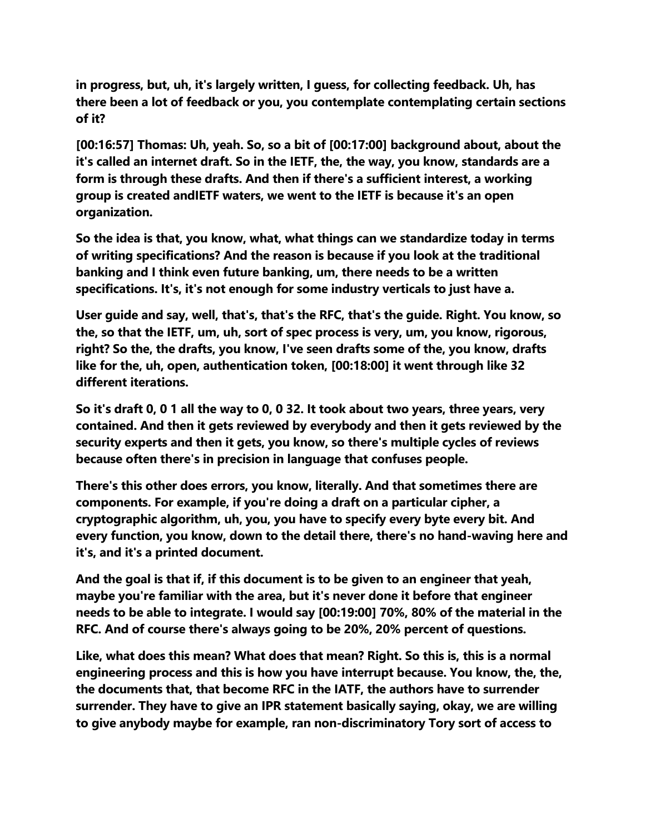**in progress, but, uh, it's largely written, I guess, for collecting feedback. Uh, has there been a lot of feedback or you, you contemplate contemplating certain sections of it?**

**[00:16:57] Thomas: Uh, yeah. So, so a bit of [00:17:00] background about, about the it's called an internet draft. So in the IETF, the, the way, you know, standards are a form is through these drafts. And then if there's a sufficient interest, a working group is created andIETF waters, we went to the IETF is because it's an open organization.**

**So the idea is that, you know, what, what things can we standardize today in terms of writing specifications? And the reason is because if you look at the traditional banking and I think even future banking, um, there needs to be a written specifications. It's, it's not enough for some industry verticals to just have a.**

**User guide and say, well, that's, that's the RFC, that's the guide. Right. You know, so the, so that the IETF, um, uh, sort of spec process is very, um, you know, rigorous, right? So the, the drafts, you know, I've seen drafts some of the, you know, drafts like for the, uh, open, authentication token, [00:18:00] it went through like 32 different iterations.**

**So it's draft 0, 0 1 all the way to 0, 0 32. It took about two years, three years, very contained. And then it gets reviewed by everybody and then it gets reviewed by the security experts and then it gets, you know, so there's multiple cycles of reviews because often there's in precision in language that confuses people.**

**There's this other does errors, you know, literally. And that sometimes there are components. For example, if you're doing a draft on a particular cipher, a cryptographic algorithm, uh, you, you have to specify every byte every bit. And every function, you know, down to the detail there, there's no hand-waving here and it's, and it's a printed document.**

**And the goal is that if, if this document is to be given to an engineer that yeah, maybe you're familiar with the area, but it's never done it before that engineer needs to be able to integrate. I would say [00:19:00] 70%, 80% of the material in the RFC. And of course there's always going to be 20%, 20% percent of questions.**

**Like, what does this mean? What does that mean? Right. So this is, this is a normal engineering process and this is how you have interrupt because. You know, the, the, the documents that, that become RFC in the IATF, the authors have to surrender surrender. They have to give an IPR statement basically saying, okay, we are willing to give anybody maybe for example, ran non-discriminatory Tory sort of access to**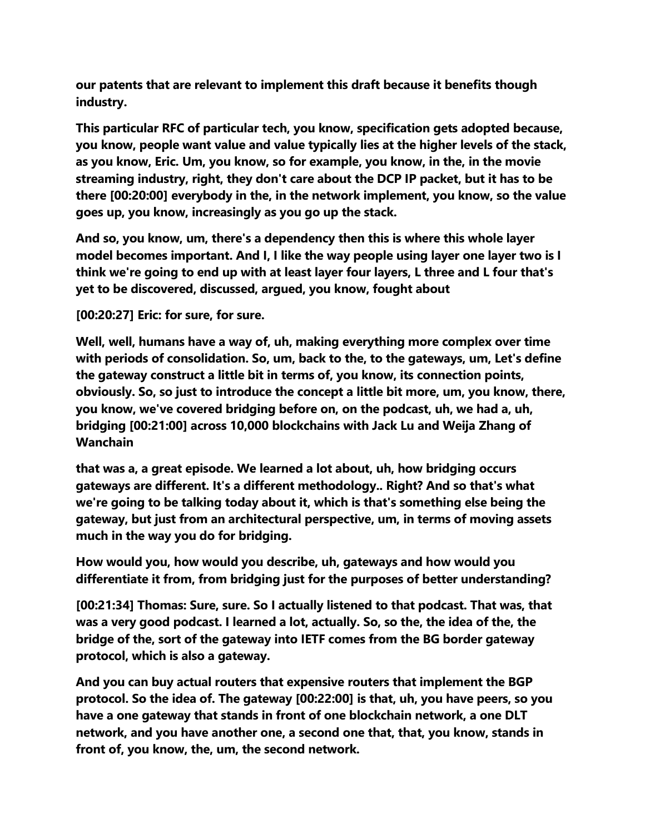**our patents that are relevant to implement this draft because it benefits though industry.**

**This particular RFC of particular tech, you know, specification gets adopted because, you know, people want value and value typically lies at the higher levels of the stack, as you know, Eric. Um, you know, so for example, you know, in the, in the movie streaming industry, right, they don't care about the DCP IP packet, but it has to be there [00:20:00] everybody in the, in the network implement, you know, so the value goes up, you know, increasingly as you go up the stack.**

**And so, you know, um, there's a dependency then this is where this whole layer model becomes important. And I, I like the way people using layer one layer two is I think we're going to end up with at least layer four layers, L three and L four that's yet to be discovered, discussed, argued, you know, fought about**

**[00:20:27] Eric: for sure, for sure.**

**Well, well, humans have a way of, uh, making everything more complex over time with periods of consolidation. So, um, back to the, to the gateways, um, Let's define the gateway construct a little bit in terms of, you know, its connection points, obviously. So, so just to introduce the concept a little bit more, um, you know, there, you know, we've covered bridging before on, on the podcast, uh, we had a, uh, bridging [00:21:00] across 10,000 blockchains with Jack Lu and Weija Zhang of Wanchain**

**that was a, a great episode. We learned a lot about, uh, how bridging occurs gateways are different. It's a different methodology.. Right? And so that's what we're going to be talking today about it, which is that's something else being the gateway, but just from an architectural perspective, um, in terms of moving assets much in the way you do for bridging.**

**How would you, how would you describe, uh, gateways and how would you differentiate it from, from bridging just for the purposes of better understanding?**

**[00:21:34] Thomas: Sure, sure. So I actually listened to that podcast. That was, that was a very good podcast. I learned a lot, actually. So, so the, the idea of the, the bridge of the, sort of the gateway into IETF comes from the BG border gateway protocol, which is also a gateway.**

**And you can buy actual routers that expensive routers that implement the BGP protocol. So the idea of. The gateway [00:22:00] is that, uh, you have peers, so you have a one gateway that stands in front of one blockchain network, a one DLT network, and you have another one, a second one that, that, you know, stands in front of, you know, the, um, the second network.**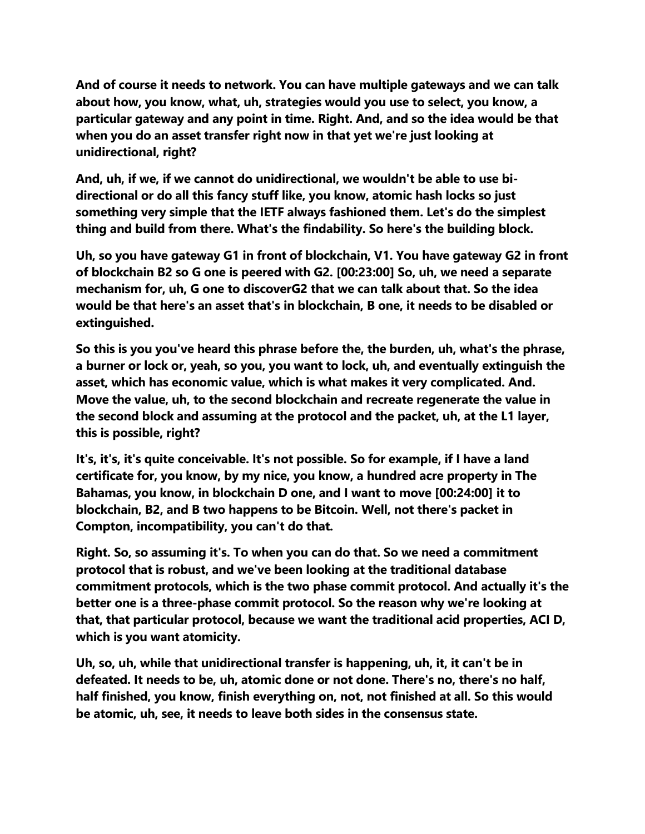**And of course it needs to network. You can have multiple gateways and we can talk about how, you know, what, uh, strategies would you use to select, you know, a particular gateway and any point in time. Right. And, and so the idea would be that when you do an asset transfer right now in that yet we're just looking at unidirectional, right?**

**And, uh, if we, if we cannot do unidirectional, we wouldn't be able to use bidirectional or do all this fancy stuff like, you know, atomic hash locks so just something very simple that the IETF always fashioned them. Let's do the simplest thing and build from there. What's the findability. So here's the building block.**

**Uh, so you have gateway G1 in front of blockchain, V1. You have gateway G2 in front of blockchain B2 so G one is peered with G2. [00:23:00] So, uh, we need a separate mechanism for, uh, G one to discoverG2 that we can talk about that. So the idea would be that here's an asset that's in blockchain, B one, it needs to be disabled or extinguished.**

**So this is you you've heard this phrase before the, the burden, uh, what's the phrase, a burner or lock or, yeah, so you, you want to lock, uh, and eventually extinguish the asset, which has economic value, which is what makes it very complicated. And. Move the value, uh, to the second blockchain and recreate regenerate the value in the second block and assuming at the protocol and the packet, uh, at the L1 layer, this is possible, right?**

**It's, it's, it's quite conceivable. It's not possible. So for example, if I have a land certificate for, you know, by my nice, you know, a hundred acre property in The Bahamas, you know, in blockchain D one, and I want to move [00:24:00] it to blockchain, B2, and B two happens to be Bitcoin. Well, not there's packet in Compton, incompatibility, you can't do that.**

**Right. So, so assuming it's. To when you can do that. So we need a commitment protocol that is robust, and we've been looking at the traditional database commitment protocols, which is the two phase commit protocol. And actually it's the better one is a three-phase commit protocol. So the reason why we're looking at that, that particular protocol, because we want the traditional acid properties, ACI D, which is you want atomicity.**

**Uh, so, uh, while that unidirectional transfer is happening, uh, it, it can't be in defeated. It needs to be, uh, atomic done or not done. There's no, there's no half, half finished, you know, finish everything on, not, not finished at all. So this would be atomic, uh, see, it needs to leave both sides in the consensus state.**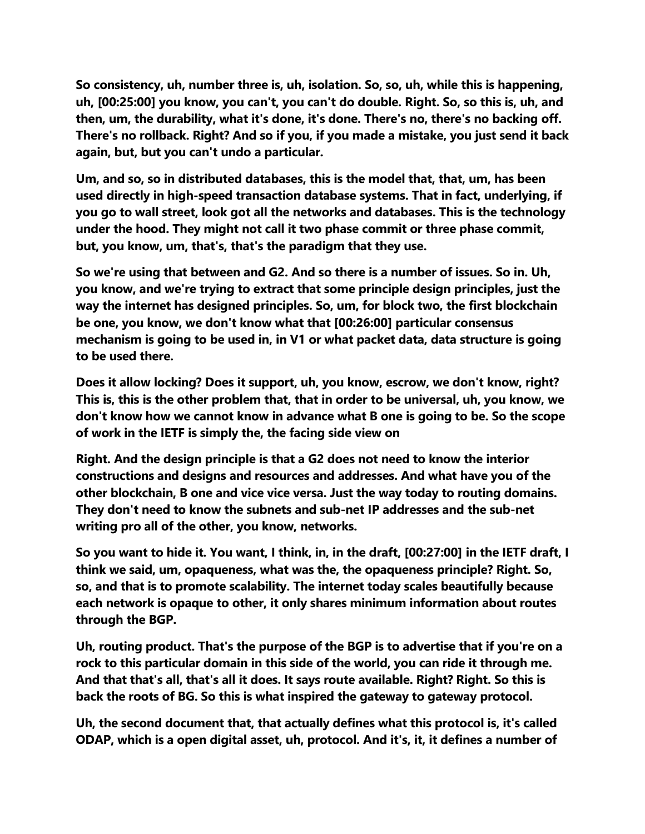**So consistency, uh, number three is, uh, isolation. So, so, uh, while this is happening, uh, [00:25:00] you know, you can't, you can't do double. Right. So, so this is, uh, and then, um, the durability, what it's done, it's done. There's no, there's no backing off. There's no rollback. Right? And so if you, if you made a mistake, you just send it back again, but, but you can't undo a particular.**

**Um, and so, so in distributed databases, this is the model that, that, um, has been used directly in high-speed transaction database systems. That in fact, underlying, if you go to wall street, look got all the networks and databases. This is the technology under the hood. They might not call it two phase commit or three phase commit, but, you know, um, that's, that's the paradigm that they use.**

**So we're using that between and G2. And so there is a number of issues. So in. Uh, you know, and we're trying to extract that some principle design principles, just the way the internet has designed principles. So, um, for block two, the first blockchain be one, you know, we don't know what that [00:26:00] particular consensus mechanism is going to be used in, in V1 or what packet data, data structure is going to be used there.**

**Does it allow locking? Does it support, uh, you know, escrow, we don't know, right? This is, this is the other problem that, that in order to be universal, uh, you know, we don't know how we cannot know in advance what B one is going to be. So the scope of work in the IETF is simply the, the facing side view on**

**Right. And the design principle is that a G2 does not need to know the interior constructions and designs and resources and addresses. And what have you of the other blockchain, B one and vice vice versa. Just the way today to routing domains. They don't need to know the subnets and sub-net IP addresses and the sub-net writing pro all of the other, you know, networks.**

**So you want to hide it. You want, I think, in, in the draft, [00:27:00] in the IETF draft, I think we said, um, opaqueness, what was the, the opaqueness principle? Right. So, so, and that is to promote scalability. The internet today scales beautifully because each network is opaque to other, it only shares minimum information about routes through the BGP.**

**Uh, routing product. That's the purpose of the BGP is to advertise that if you're on a rock to this particular domain in this side of the world, you can ride it through me. And that that's all, that's all it does. It says route available. Right? Right. So this is back the roots of BG. So this is what inspired the gateway to gateway protocol.**

**Uh, the second document that, that actually defines what this protocol is, it's called ODAP, which is a open digital asset, uh, protocol. And it's, it, it defines a number of**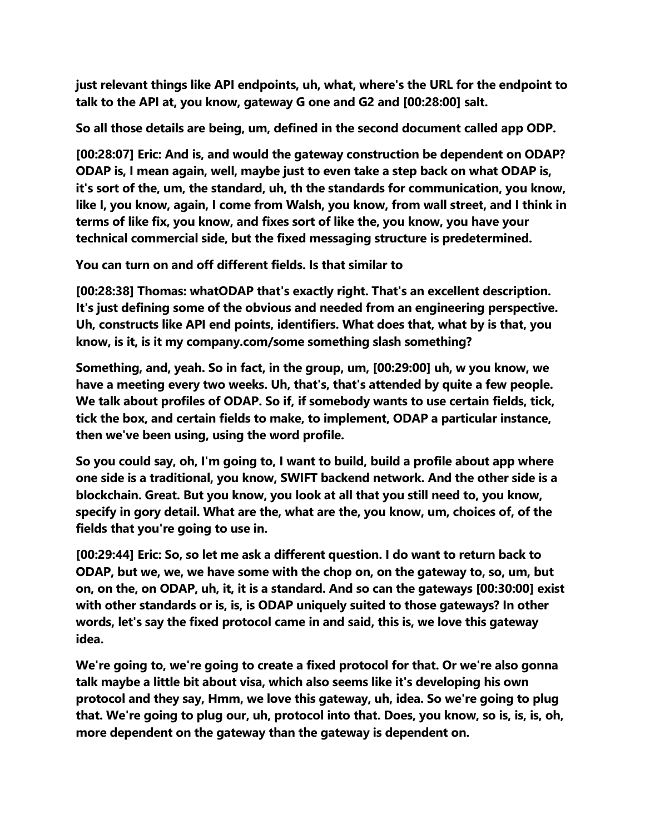**just relevant things like API endpoints, uh, what, where's the URL for the endpoint to talk to the API at, you know, gateway G one and G2 and [00:28:00] salt.**

**So all those details are being, um, defined in the second document called app ODP.**

**[00:28:07] Eric: And is, and would the gateway construction be dependent on ODAP? ODAP is, I mean again, well, maybe just to even take a step back on what ODAP is, it's sort of the, um, the standard, uh, th the standards for communication, you know, like I, you know, again, I come from Walsh, you know, from wall street, and I think in terms of like fix, you know, and fixes sort of like the, you know, you have your technical commercial side, but the fixed messaging structure is predetermined.**

**You can turn on and off different fields. Is that similar to**

**[00:28:38] Thomas: whatODAP that's exactly right. That's an excellent description. It's just defining some of the obvious and needed from an engineering perspective. Uh, constructs like API end points, identifiers. What does that, what by is that, you know, is it, is it my company.com/some something slash something?**

**Something, and, yeah. So in fact, in the group, um, [00:29:00] uh, w you know, we have a meeting every two weeks. Uh, that's, that's attended by quite a few people. We talk about profiles of ODAP. So if, if somebody wants to use certain fields, tick, tick the box, and certain fields to make, to implement, ODAP a particular instance, then we've been using, using the word profile.**

**So you could say, oh, I'm going to, I want to build, build a profile about app where one side is a traditional, you know, SWIFT backend network. And the other side is a blockchain. Great. But you know, you look at all that you still need to, you know, specify in gory detail. What are the, what are the, you know, um, choices of, of the fields that you're going to use in.**

**[00:29:44] Eric: So, so let me ask a different question. I do want to return back to ODAP, but we, we, we have some with the chop on, on the gateway to, so, um, but on, on the, on ODAP, uh, it, it is a standard. And so can the gateways [00:30:00] exist with other standards or is, is, is ODAP uniquely suited to those gateways? In other words, let's say the fixed protocol came in and said, this is, we love this gateway idea.**

**We're going to, we're going to create a fixed protocol for that. Or we're also gonna talk maybe a little bit about visa, which also seems like it's developing his own protocol and they say, Hmm, we love this gateway, uh, idea. So we're going to plug that. We're going to plug our, uh, protocol into that. Does, you know, so is, is, is, oh, more dependent on the gateway than the gateway is dependent on.**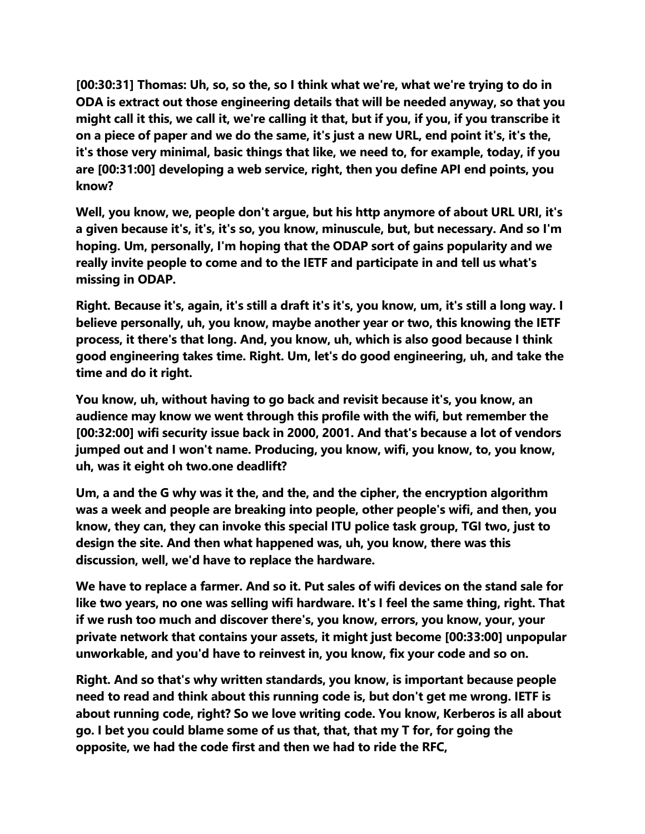**[00:30:31] Thomas: Uh, so, so the, so I think what we're, what we're trying to do in ODA is extract out those engineering details that will be needed anyway, so that you might call it this, we call it, we're calling it that, but if you, if you, if you transcribe it on a piece of paper and we do the same, it's just a new URL, end point it's, it's the, it's those very minimal, basic things that like, we need to, for example, today, if you are [00:31:00] developing a web service, right, then you define API end points, you know?**

**Well, you know, we, people don't argue, but his http anymore of about URL URI, it's a given because it's, it's, it's so, you know, minuscule, but, but necessary. And so I'm hoping. Um, personally, I'm hoping that the ODAP sort of gains popularity and we really invite people to come and to the IETF and participate in and tell us what's missing in ODAP.**

**Right. Because it's, again, it's still a draft it's it's, you know, um, it's still a long way. I believe personally, uh, you know, maybe another year or two, this knowing the IETF process, it there's that long. And, you know, uh, which is also good because I think good engineering takes time. Right. Um, let's do good engineering, uh, and take the time and do it right.**

**You know, uh, without having to go back and revisit because it's, you know, an audience may know we went through this profile with the wifi, but remember the [00:32:00] wifi security issue back in 2000, 2001. And that's because a lot of vendors jumped out and I won't name. Producing, you know, wifi, you know, to, you know, uh, was it eight oh two.one deadlift?**

**Um, a and the G why was it the, and the, and the cipher, the encryption algorithm was a week and people are breaking into people, other people's wifi, and then, you know, they can, they can invoke this special ITU police task group, TGI two, just to design the site. And then what happened was, uh, you know, there was this discussion, well, we'd have to replace the hardware.**

**We have to replace a farmer. And so it. Put sales of wifi devices on the stand sale for like two years, no one was selling wifi hardware. It's I feel the same thing, right. That if we rush too much and discover there's, you know, errors, you know, your, your private network that contains your assets, it might just become [00:33:00] unpopular unworkable, and you'd have to reinvest in, you know, fix your code and so on.**

**Right. And so that's why written standards, you know, is important because people need to read and think about this running code is, but don't get me wrong. IETF is about running code, right? So we love writing code. You know, Kerberos is all about go. I bet you could blame some of us that, that, that my T for, for going the opposite, we had the code first and then we had to ride the RFC,**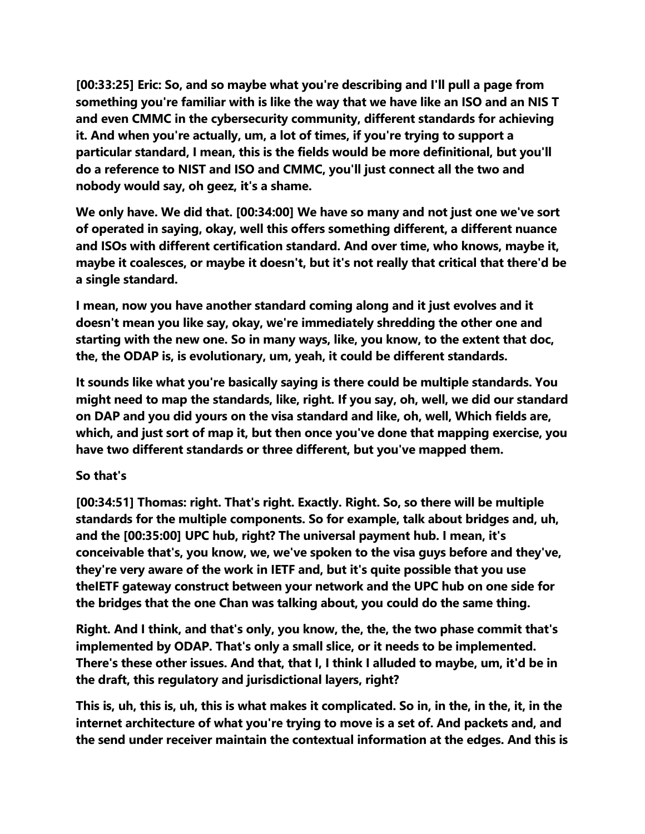**[00:33:25] Eric: So, and so maybe what you're describing and I'll pull a page from something you're familiar with is like the way that we have like an ISO and an NIS T and even CMMC in the cybersecurity community, different standards for achieving it. And when you're actually, um, a lot of times, if you're trying to support a particular standard, I mean, this is the fields would be more definitional, but you'll do a reference to NIST and ISO and CMMC, you'll just connect all the two and nobody would say, oh geez, it's a shame.**

**We only have. We did that. [00:34:00] We have so many and not just one we've sort of operated in saying, okay, well this offers something different, a different nuance and ISOs with different certification standard. And over time, who knows, maybe it, maybe it coalesces, or maybe it doesn't, but it's not really that critical that there'd be a single standard.**

**I mean, now you have another standard coming along and it just evolves and it doesn't mean you like say, okay, we're immediately shredding the other one and starting with the new one. So in many ways, like, you know, to the extent that doc, the, the ODAP is, is evolutionary, um, yeah, it could be different standards.**

**It sounds like what you're basically saying is there could be multiple standards. You might need to map the standards, like, right. If you say, oh, well, we did our standard on DAP and you did yours on the visa standard and like, oh, well, Which fields are, which, and just sort of map it, but then once you've done that mapping exercise, you have two different standards or three different, but you've mapped them.**

## **So that's**

**[00:34:51] Thomas: right. That's right. Exactly. Right. So, so there will be multiple standards for the multiple components. So for example, talk about bridges and, uh, and the [00:35:00] UPC hub, right? The universal payment hub. I mean, it's conceivable that's, you know, we, we've spoken to the visa guys before and they've, they're very aware of the work in IETF and, but it's quite possible that you use theIETF gateway construct between your network and the UPC hub on one side for the bridges that the one Chan was talking about, you could do the same thing.**

**Right. And I think, and that's only, you know, the, the, the two phase commit that's implemented by ODAP. That's only a small slice, or it needs to be implemented. There's these other issues. And that, that I, I think I alluded to maybe, um, it'd be in the draft, this regulatory and jurisdictional layers, right?**

**This is, uh, this is, uh, this is what makes it complicated. So in, in the, in the, it, in the internet architecture of what you're trying to move is a set of. And packets and, and the send under receiver maintain the contextual information at the edges. And this is**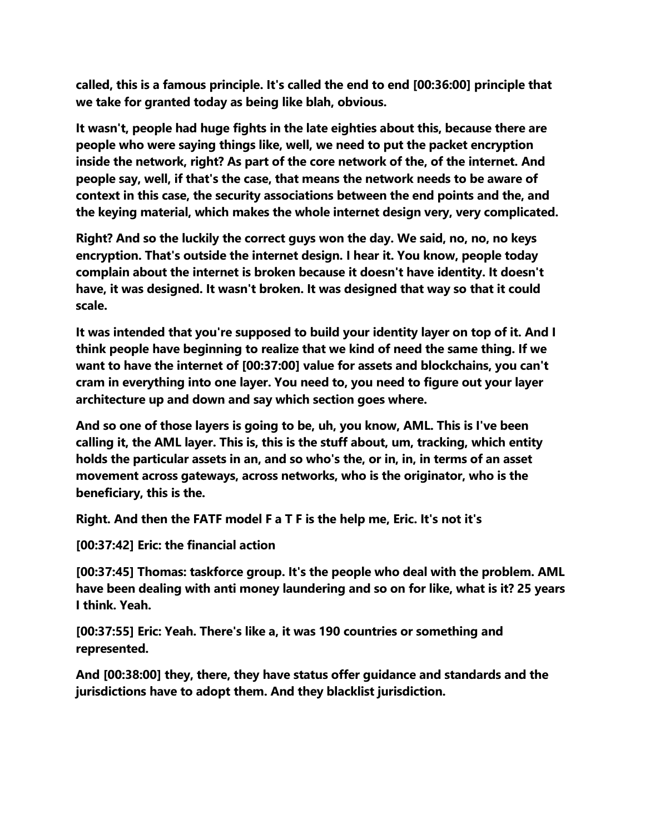**called, this is a famous principle. It's called the end to end [00:36:00] principle that we take for granted today as being like blah, obvious.**

**It wasn't, people had huge fights in the late eighties about this, because there are people who were saying things like, well, we need to put the packet encryption inside the network, right? As part of the core network of the, of the internet. And people say, well, if that's the case, that means the network needs to be aware of context in this case, the security associations between the end points and the, and the keying material, which makes the whole internet design very, very complicated.**

**Right? And so the luckily the correct guys won the day. We said, no, no, no keys encryption. That's outside the internet design. I hear it. You know, people today complain about the internet is broken because it doesn't have identity. It doesn't have, it was designed. It wasn't broken. It was designed that way so that it could scale.**

**It was intended that you're supposed to build your identity layer on top of it. And I think people have beginning to realize that we kind of need the same thing. If we want to have the internet of [00:37:00] value for assets and blockchains, you can't cram in everything into one layer. You need to, you need to figure out your layer architecture up and down and say which section goes where.**

**And so one of those layers is going to be, uh, you know, AML. This is I've been calling it, the AML layer. This is, this is the stuff about, um, tracking, which entity holds the particular assets in an, and so who's the, or in, in, in terms of an asset movement across gateways, across networks, who is the originator, who is the beneficiary, this is the.**

**Right. And then the FATF model F a T F is the help me, Eric. It's not it's**

**[00:37:42] Eric: the financial action**

**[00:37:45] Thomas: taskforce group. It's the people who deal with the problem. AML have been dealing with anti money laundering and so on for like, what is it? 25 years I think. Yeah.**

**[00:37:55] Eric: Yeah. There's like a, it was 190 countries or something and represented.**

**And [00:38:00] they, there, they have status offer guidance and standards and the jurisdictions have to adopt them. And they blacklist jurisdiction.**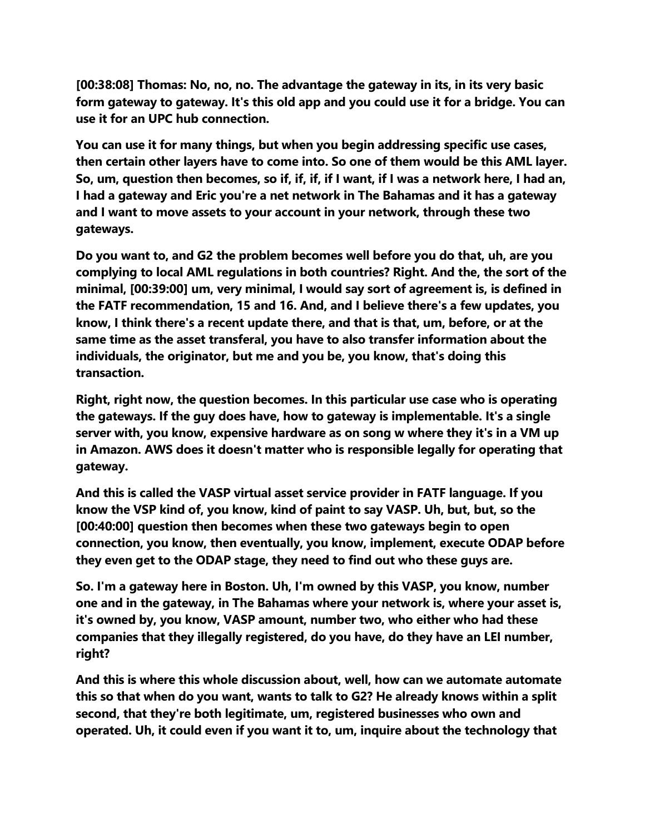**[00:38:08] Thomas: No, no, no. The advantage the gateway in its, in its very basic form gateway to gateway. It's this old app and you could use it for a bridge. You can use it for an UPC hub connection.**

**You can use it for many things, but when you begin addressing specific use cases, then certain other layers have to come into. So one of them would be this AML layer. So, um, question then becomes, so if, if, if, if I want, if I was a network here, I had an, I had a gateway and Eric you're a net network in The Bahamas and it has a gateway and I want to move assets to your account in your network, through these two gateways.**

**Do you want to, and G2 the problem becomes well before you do that, uh, are you complying to local AML regulations in both countries? Right. And the, the sort of the minimal, [00:39:00] um, very minimal, I would say sort of agreement is, is defined in the FATF recommendation, 15 and 16. And, and I believe there's a few updates, you know, I think there's a recent update there, and that is that, um, before, or at the same time as the asset transferal, you have to also transfer information about the individuals, the originator, but me and you be, you know, that's doing this transaction.**

**Right, right now, the question becomes. In this particular use case who is operating the gateways. If the guy does have, how to gateway is implementable. It's a single server with, you know, expensive hardware as on song w where they it's in a VM up in Amazon. AWS does it doesn't matter who is responsible legally for operating that gateway.**

**And this is called the VASP virtual asset service provider in FATF language. If you know the VSP kind of, you know, kind of paint to say VASP. Uh, but, but, so the [00:40:00] question then becomes when these two gateways begin to open connection, you know, then eventually, you know, implement, execute ODAP before they even get to the ODAP stage, they need to find out who these guys are.**

**So. I'm a gateway here in Boston. Uh, I'm owned by this VASP, you know, number one and in the gateway, in The Bahamas where your network is, where your asset is, it's owned by, you know, VASP amount, number two, who either who had these companies that they illegally registered, do you have, do they have an LEI number, right?**

**And this is where this whole discussion about, well, how can we automate automate this so that when do you want, wants to talk to G2? He already knows within a split second, that they're both legitimate, um, registered businesses who own and operated. Uh, it could even if you want it to, um, inquire about the technology that**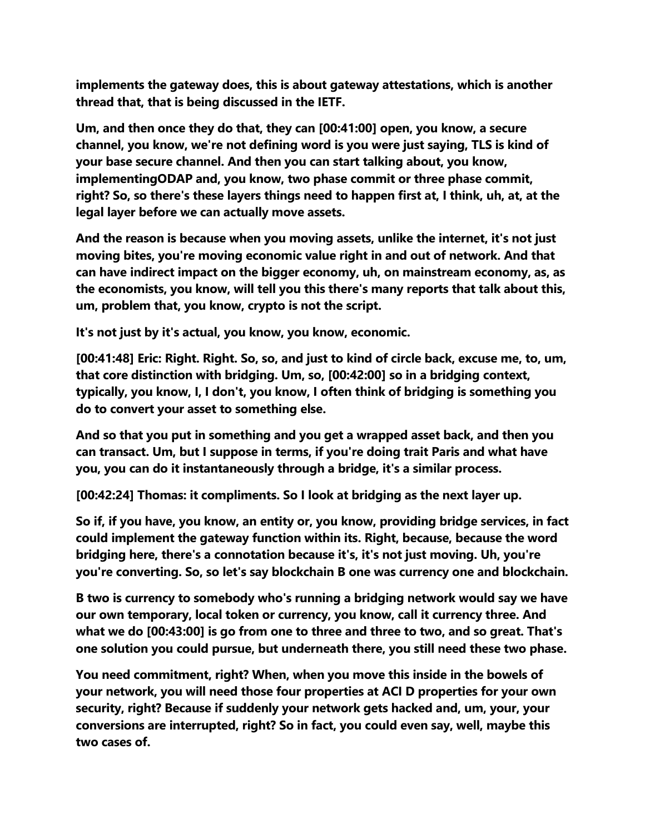**implements the gateway does, this is about gateway attestations, which is another thread that, that is being discussed in the IETF.**

**Um, and then once they do that, they can [00:41:00] open, you know, a secure channel, you know, we're not defining word is you were just saying, TLS is kind of your base secure channel. And then you can start talking about, you know, implementingODAP and, you know, two phase commit or three phase commit, right? So, so there's these layers things need to happen first at, I think, uh, at, at the legal layer before we can actually move assets.**

**And the reason is because when you moving assets, unlike the internet, it's not just moving bites, you're moving economic value right in and out of network. And that can have indirect impact on the bigger economy, uh, on mainstream economy, as, as the economists, you know, will tell you this there's many reports that talk about this, um, problem that, you know, crypto is not the script.**

**It's not just by it's actual, you know, you know, economic.**

**[00:41:48] Eric: Right. Right. So, so, and just to kind of circle back, excuse me, to, um, that core distinction with bridging. Um, so, [00:42:00] so in a bridging context, typically, you know, I, I don't, you know, I often think of bridging is something you do to convert your asset to something else.**

**And so that you put in something and you get a wrapped asset back, and then you can transact. Um, but I suppose in terms, if you're doing trait Paris and what have you, you can do it instantaneously through a bridge, it's a similar process.**

**[00:42:24] Thomas: it compliments. So I look at bridging as the next layer up.**

**So if, if you have, you know, an entity or, you know, providing bridge services, in fact could implement the gateway function within its. Right, because, because the word bridging here, there's a connotation because it's, it's not just moving. Uh, you're you're converting. So, so let's say blockchain B one was currency one and blockchain.**

**B two is currency to somebody who's running a bridging network would say we have our own temporary, local token or currency, you know, call it currency three. And what we do [00:43:00] is go from one to three and three to two, and so great. That's one solution you could pursue, but underneath there, you still need these two phase.**

**You need commitment, right? When, when you move this inside in the bowels of your network, you will need those four properties at ACI D properties for your own security, right? Because if suddenly your network gets hacked and, um, your, your conversions are interrupted, right? So in fact, you could even say, well, maybe this two cases of.**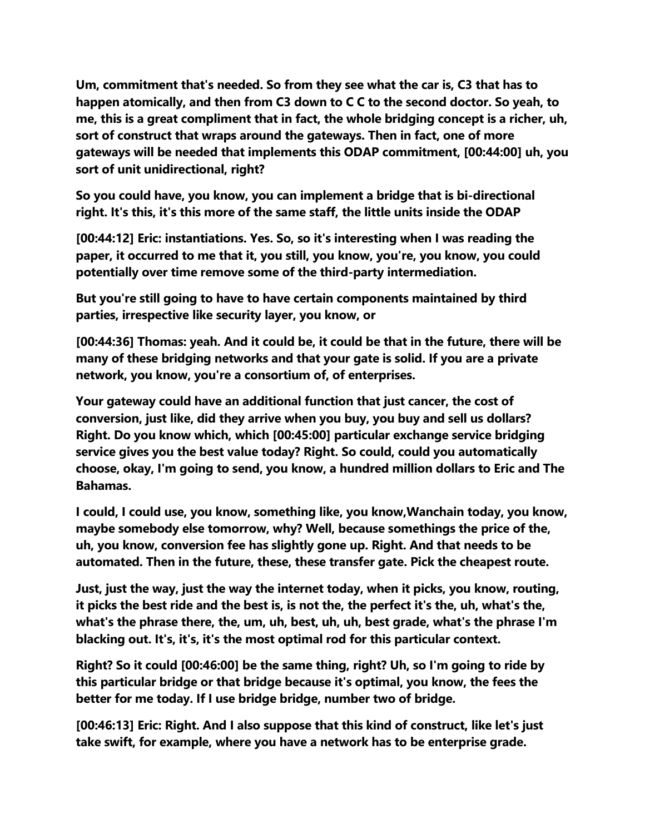**Um, commitment that's needed. So from they see what the car is, C3 that has to happen atomically, and then from C3 down to C C to the second doctor. So yeah, to me, this is a great compliment that in fact, the whole bridging concept is a richer, uh, sort of construct that wraps around the gateways. Then in fact, one of more gateways will be needed that implements this ODAP commitment, [00:44:00] uh, you sort of unit unidirectional, right?**

**So you could have, you know, you can implement a bridge that is bi-directional right. It's this, it's this more of the same staff, the little units inside the ODAP**

**[00:44:12] Eric: instantiations. Yes. So, so it's interesting when I was reading the paper, it occurred to me that it, you still, you know, you're, you know, you could potentially over time remove some of the third-party intermediation.**

**But you're still going to have to have certain components maintained by third parties, irrespective like security layer, you know, or**

**[00:44:36] Thomas: yeah. And it could be, it could be that in the future, there will be many of these bridging networks and that your gate is solid. If you are a private network, you know, you're a consortium of, of enterprises.**

**Your gateway could have an additional function that just cancer, the cost of conversion, just like, did they arrive when you buy, you buy and sell us dollars? Right. Do you know which, which [00:45:00] particular exchange service bridging service gives you the best value today? Right. So could, could you automatically choose, okay, I'm going to send, you know, a hundred million dollars to Eric and The Bahamas.**

**I could, I could use, you know, something like, you know,Wanchain today, you know, maybe somebody else tomorrow, why? Well, because somethings the price of the, uh, you know, conversion fee has slightly gone up. Right. And that needs to be automated. Then in the future, these, these transfer gate. Pick the cheapest route.**

**Just, just the way, just the way the internet today, when it picks, you know, routing, it picks the best ride and the best is, is not the, the perfect it's the, uh, what's the, what's the phrase there, the, um, uh, best, uh, uh, best grade, what's the phrase I'm blacking out. It's, it's, it's the most optimal rod for this particular context.**

**Right? So it could [00:46:00] be the same thing, right? Uh, so I'm going to ride by this particular bridge or that bridge because it's optimal, you know, the fees the better for me today. If I use bridge bridge, number two of bridge.**

**[00:46:13] Eric: Right. And I also suppose that this kind of construct, like let's just take swift, for example, where you have a network has to be enterprise grade.**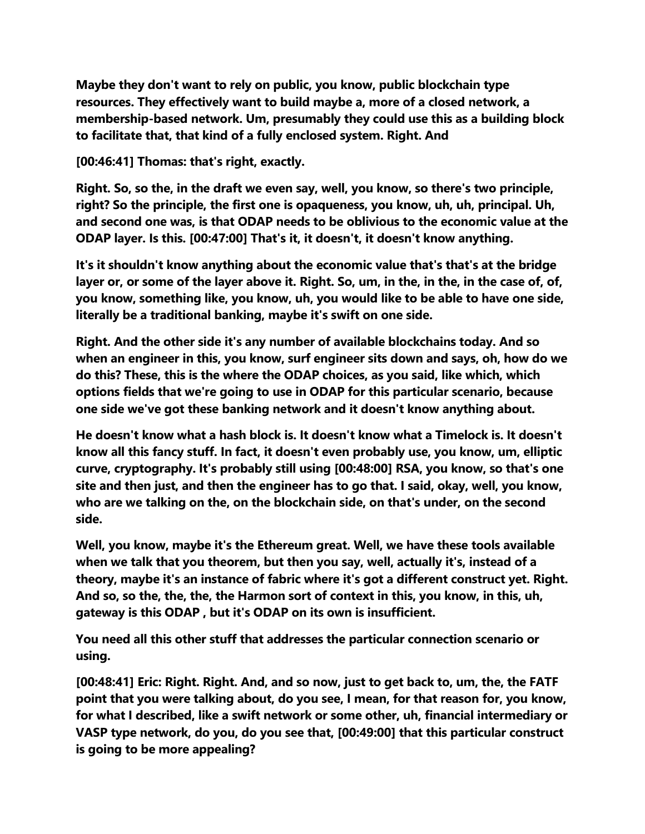**Maybe they don't want to rely on public, you know, public blockchain type resources. They effectively want to build maybe a, more of a closed network, a membership-based network. Um, presumably they could use this as a building block to facilitate that, that kind of a fully enclosed system. Right. And**

**[00:46:41] Thomas: that's right, exactly.**

**Right. So, so the, in the draft we even say, well, you know, so there's two principle, right? So the principle, the first one is opaqueness, you know, uh, uh, principal. Uh, and second one was, is that ODAP needs to be oblivious to the economic value at the ODAP layer. Is this. [00:47:00] That's it, it doesn't, it doesn't know anything.**

**It's it shouldn't know anything about the economic value that's that's at the bridge layer or, or some of the layer above it. Right. So, um, in the, in the, in the case of, of, you know, something like, you know, uh, you would like to be able to have one side, literally be a traditional banking, maybe it's swift on one side.**

**Right. And the other side it's any number of available blockchains today. And so when an engineer in this, you know, surf engineer sits down and says, oh, how do we do this? These, this is the where the ODAP choices, as you said, like which, which options fields that we're going to use in ODAP for this particular scenario, because one side we've got these banking network and it doesn't know anything about.**

**He doesn't know what a hash block is. It doesn't know what a Timelock is. It doesn't know all this fancy stuff. In fact, it doesn't even probably use, you know, um, elliptic curve, cryptography. It's probably still using [00:48:00] RSA, you know, so that's one site and then just, and then the engineer has to go that. I said, okay, well, you know, who are we talking on the, on the blockchain side, on that's under, on the second side.**

**Well, you know, maybe it's the Ethereum great. Well, we have these tools available when we talk that you theorem, but then you say, well, actually it's, instead of a theory, maybe it's an instance of fabric where it's got a different construct yet. Right. And so, so the, the, the, the Harmon sort of context in this, you know, in this, uh, gateway is this ODAP , but it's ODAP on its own is insufficient.**

**You need all this other stuff that addresses the particular connection scenario or using.**

**[00:48:41] Eric: Right. Right. And, and so now, just to get back to, um, the, the FATF point that you were talking about, do you see, I mean, for that reason for, you know, for what I described, like a swift network or some other, uh, financial intermediary or VASP type network, do you, do you see that, [00:49:00] that this particular construct is going to be more appealing?**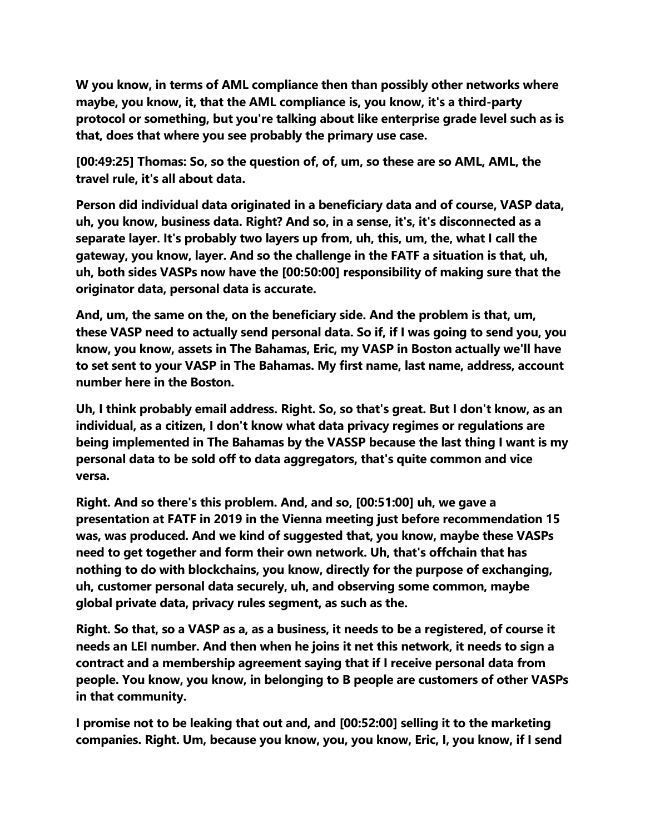**W you know, in terms of AML compliance then than possibly other networks where maybe, you know, it, that the AML compliance is, you know, it's a third-party protocol or something, but you're talking about like enterprise grade level such as is that, does that where you see probably the primary use case.**

**[00:49:25] Thomas: So, so the question of, of, um, so these are so AML, AML, the travel rule, it's all about data.**

**Person did individual data originated in a beneficiary data and of course, VASP data, uh, you know, business data. Right? And so, in a sense, it's, it's disconnected as a separate layer. It's probably two layers up from, uh, this, um, the, what I call the gateway, you know, layer. And so the challenge in the FATF a situation is that, uh, uh, both sides VASPs now have the [00:50:00] responsibility of making sure that the originator data, personal data is accurate.**

**And, um, the same on the, on the beneficiary side. And the problem is that, um, these VASP need to actually send personal data. So if, if I was going to send you, you know, you know, assets in The Bahamas, Eric, my VASP in Boston actually we'll have to set sent to your VASP in The Bahamas. My first name, last name, address, account number here in the Boston.**

**Uh, I think probably email address. Right. So, so that's great. But I don't know, as an individual, as a citizen, I don't know what data privacy regimes or regulations are being implemented in The Bahamas by the VASSP because the last thing I want is my personal data to be sold off to data aggregators, that's quite common and vice versa.**

**Right. And so there's this problem. And, and so, [00:51:00] uh, we gave a presentation at FATF in 2019 in the Vienna meeting just before recommendation 15 was, was produced. And we kind of suggested that, you know, maybe these VASPs need to get together and form their own network. Uh, that's offchain that has nothing to do with blockchains, you know, directly for the purpose of exchanging, uh, customer personal data securely, uh, and observing some common, maybe global private data, privacy rules segment, as such as the.**

**Right. So that, so a VASP as a, as a business, it needs to be a registered, of course it needs an LEI number. And then when he joins it net this network, it needs to sign a contract and a membership agreement saying that if I receive personal data from people. You know, you know, in belonging to B people are customers of other VASPs in that community.**

**I promise not to be leaking that out and, and [00:52:00] selling it to the marketing companies. Right. Um, because you know, you, you know, Eric, I, you know, if I send**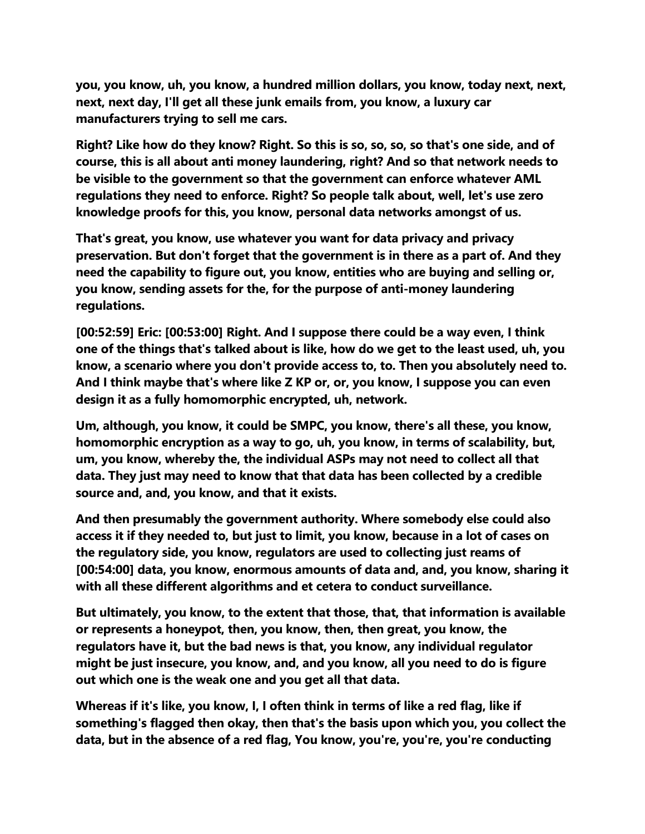**you, you know, uh, you know, a hundred million dollars, you know, today next, next, next, next day, I'll get all these junk emails from, you know, a luxury car manufacturers trying to sell me cars.**

**Right? Like how do they know? Right. So this is so, so, so, so that's one side, and of course, this is all about anti money laundering, right? And so that network needs to be visible to the government so that the government can enforce whatever AML regulations they need to enforce. Right? So people talk about, well, let's use zero knowledge proofs for this, you know, personal data networks amongst of us.**

**That's great, you know, use whatever you want for data privacy and privacy preservation. But don't forget that the government is in there as a part of. And they need the capability to figure out, you know, entities who are buying and selling or, you know, sending assets for the, for the purpose of anti-money laundering regulations.**

**[00:52:59] Eric: [00:53:00] Right. And I suppose there could be a way even, I think one of the things that's talked about is like, how do we get to the least used, uh, you know, a scenario where you don't provide access to, to. Then you absolutely need to. And I think maybe that's where like Z KP or, or, you know, I suppose you can even design it as a fully homomorphic encrypted, uh, network.**

**Um, although, you know, it could be SMPC, you know, there's all these, you know, homomorphic encryption as a way to go, uh, you know, in terms of scalability, but, um, you know, whereby the, the individual ASPs may not need to collect all that data. They just may need to know that that data has been collected by a credible source and, and, you know, and that it exists.**

**And then presumably the government authority. Where somebody else could also access it if they needed to, but just to limit, you know, because in a lot of cases on the regulatory side, you know, regulators are used to collecting just reams of [00:54:00] data, you know, enormous amounts of data and, and, you know, sharing it with all these different algorithms and et cetera to conduct surveillance.**

**But ultimately, you know, to the extent that those, that, that information is available or represents a honeypot, then, you know, then, then great, you know, the regulators have it, but the bad news is that, you know, any individual regulator might be just insecure, you know, and, and you know, all you need to do is figure out which one is the weak one and you get all that data.**

**Whereas if it's like, you know, I, I often think in terms of like a red flag, like if something's flagged then okay, then that's the basis upon which you, you collect the data, but in the absence of a red flag, You know, you're, you're, you're conducting**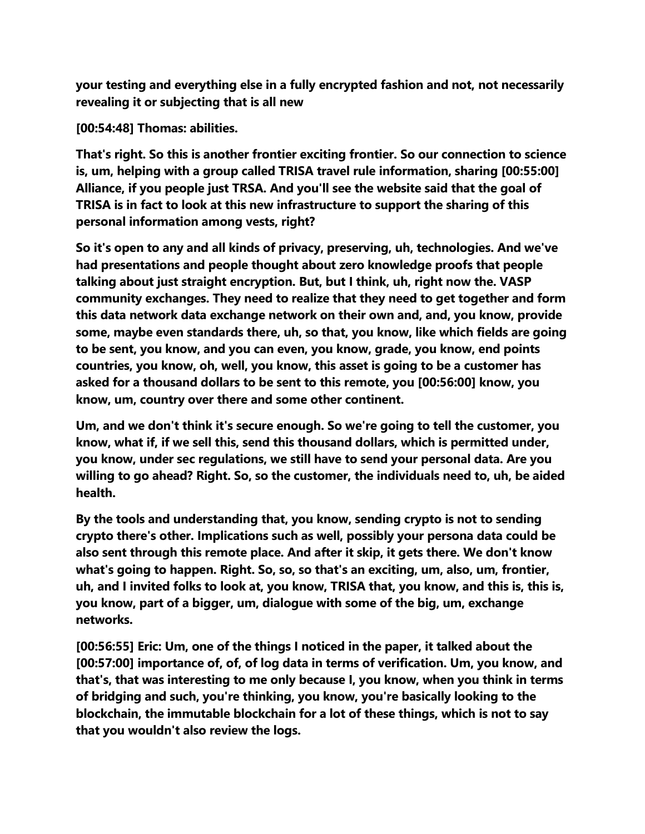**your testing and everything else in a fully encrypted fashion and not, not necessarily revealing it or subjecting that is all new**

**[00:54:48] Thomas: abilities.**

**That's right. So this is another frontier exciting frontier. So our connection to science is, um, helping with a group called TRISA travel rule information, sharing [00:55:00] Alliance, if you people just TRSA. And you'll see the website said that the goal of TRISA is in fact to look at this new infrastructure to support the sharing of this personal information among vests, right?**

**So it's open to any and all kinds of privacy, preserving, uh, technologies. And we've had presentations and people thought about zero knowledge proofs that people talking about just straight encryption. But, but I think, uh, right now the. VASP community exchanges. They need to realize that they need to get together and form this data network data exchange network on their own and, and, you know, provide some, maybe even standards there, uh, so that, you know, like which fields are going to be sent, you know, and you can even, you know, grade, you know, end points countries, you know, oh, well, you know, this asset is going to be a customer has asked for a thousand dollars to be sent to this remote, you [00:56:00] know, you know, um, country over there and some other continent.**

**Um, and we don't think it's secure enough. So we're going to tell the customer, you know, what if, if we sell this, send this thousand dollars, which is permitted under, you know, under sec regulations, we still have to send your personal data. Are you willing to go ahead? Right. So, so the customer, the individuals need to, uh, be aided health.**

**By the tools and understanding that, you know, sending crypto is not to sending crypto there's other. Implications such as well, possibly your persona data could be also sent through this remote place. And after it skip, it gets there. We don't know what's going to happen. Right. So, so, so that's an exciting, um, also, um, frontier, uh, and I invited folks to look at, you know, TRISA that, you know, and this is, this is, you know, part of a bigger, um, dialogue with some of the big, um, exchange networks.**

**[00:56:55] Eric: Um, one of the things I noticed in the paper, it talked about the [00:57:00] importance of, of, of log data in terms of verification. Um, you know, and that's, that was interesting to me only because I, you know, when you think in terms of bridging and such, you're thinking, you know, you're basically looking to the blockchain, the immutable blockchain for a lot of these things, which is not to say that you wouldn't also review the logs.**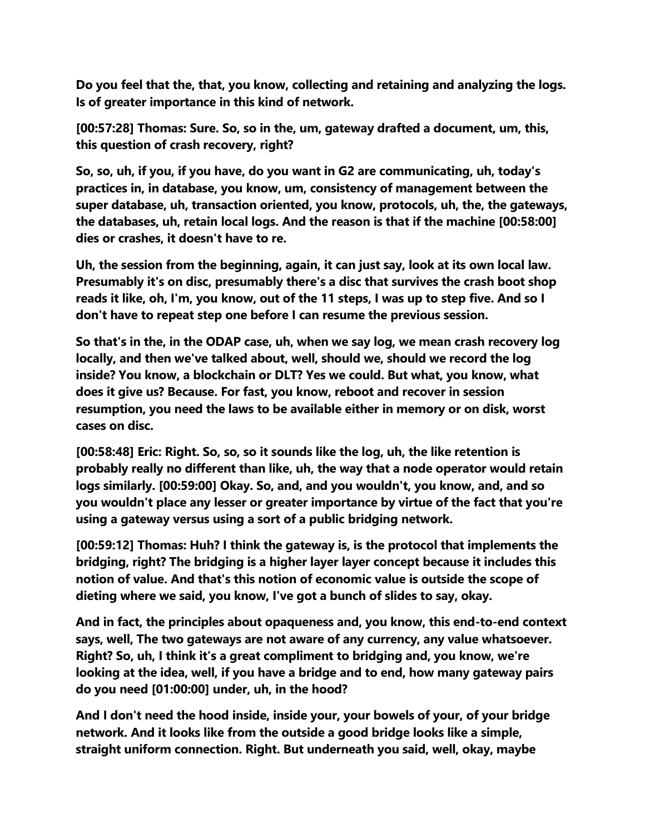**Do you feel that the, that, you know, collecting and retaining and analyzing the logs. Is of greater importance in this kind of network.**

**[00:57:28] Thomas: Sure. So, so in the, um, gateway drafted a document, um, this, this question of crash recovery, right?**

**So, so, uh, if you, if you have, do you want in G2 are communicating, uh, today's practices in, in database, you know, um, consistency of management between the super database, uh, transaction oriented, you know, protocols, uh, the, the gateways, the databases, uh, retain local logs. And the reason is that if the machine [00:58:00] dies or crashes, it doesn't have to re.**

**Uh, the session from the beginning, again, it can just say, look at its own local law. Presumably it's on disc, presumably there's a disc that survives the crash boot shop reads it like, oh, I'm, you know, out of the 11 steps, I was up to step five. And so I don't have to repeat step one before I can resume the previous session.**

**So that's in the, in the ODAP case, uh, when we say log, we mean crash recovery log locally, and then we've talked about, well, should we, should we record the log inside? You know, a blockchain or DLT? Yes we could. But what, you know, what does it give us? Because. For fast, you know, reboot and recover in session resumption, you need the laws to be available either in memory or on disk, worst cases on disc.**

**[00:58:48] Eric: Right. So, so, so it sounds like the log, uh, the like retention is probably really no different than like, uh, the way that a node operator would retain logs similarly. [00:59:00] Okay. So, and, and you wouldn't, you know, and, and so you wouldn't place any lesser or greater importance by virtue of the fact that you're using a gateway versus using a sort of a public bridging network.**

**[00:59:12] Thomas: Huh? I think the gateway is, is the protocol that implements the bridging, right? The bridging is a higher layer layer concept because it includes this notion of value. And that's this notion of economic value is outside the scope of dieting where we said, you know, I've got a bunch of slides to say, okay.**

**And in fact, the principles about opaqueness and, you know, this end-to-end context says, well, The two gateways are not aware of any currency, any value whatsoever. Right? So, uh, I think it's a great compliment to bridging and, you know, we're looking at the idea, well, if you have a bridge and to end, how many gateway pairs do you need [01:00:00] under, uh, in the hood?**

**And I don't need the hood inside, inside your, your bowels of your, of your bridge network. And it looks like from the outside a good bridge looks like a simple, straight uniform connection. Right. But underneath you said, well, okay, maybe**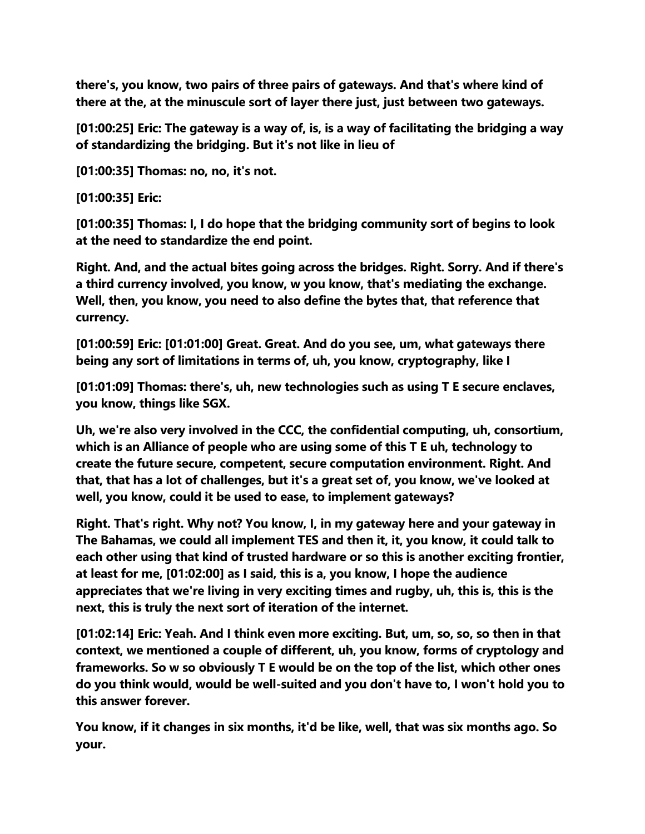**there's, you know, two pairs of three pairs of gateways. And that's where kind of there at the, at the minuscule sort of layer there just, just between two gateways.**

**[01:00:25] Eric: The gateway is a way of, is, is a way of facilitating the bridging a way of standardizing the bridging. But it's not like in lieu of**

**[01:00:35] Thomas: no, no, it's not.**

**[01:00:35] Eric:**

**[01:00:35] Thomas: I, I do hope that the bridging community sort of begins to look at the need to standardize the end point.**

**Right. And, and the actual bites going across the bridges. Right. Sorry. And if there's a third currency involved, you know, w you know, that's mediating the exchange. Well, then, you know, you need to also define the bytes that, that reference that currency.**

**[01:00:59] Eric: [01:01:00] Great. Great. And do you see, um, what gateways there being any sort of limitations in terms of, uh, you know, cryptography, like I**

**[01:01:09] Thomas: there's, uh, new technologies such as using T E secure enclaves, you know, things like SGX.**

**Uh, we're also very involved in the CCC, the confidential computing, uh, consortium, which is an Alliance of people who are using some of this T E uh, technology to create the future secure, competent, secure computation environment. Right. And that, that has a lot of challenges, but it's a great set of, you know, we've looked at well, you know, could it be used to ease, to implement gateways?**

**Right. That's right. Why not? You know, I, in my gateway here and your gateway in The Bahamas, we could all implement TES and then it, it, you know, it could talk to each other using that kind of trusted hardware or so this is another exciting frontier, at least for me, [01:02:00] as I said, this is a, you know, I hope the audience appreciates that we're living in very exciting times and rugby, uh, this is, this is the next, this is truly the next sort of iteration of the internet.**

**[01:02:14] Eric: Yeah. And I think even more exciting. But, um, so, so, so then in that context, we mentioned a couple of different, uh, you know, forms of cryptology and frameworks. So w so obviously T E would be on the top of the list, which other ones do you think would, would be well-suited and you don't have to, I won't hold you to this answer forever.**

**You know, if it changes in six months, it'd be like, well, that was six months ago. So your.**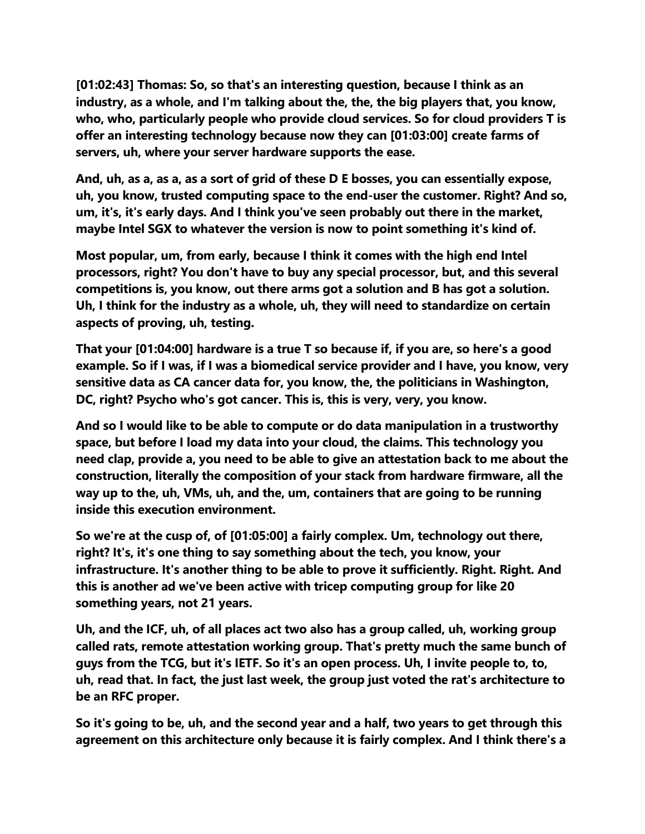**[01:02:43] Thomas: So, so that's an interesting question, because I think as an industry, as a whole, and I'm talking about the, the, the big players that, you know, who, who, particularly people who provide cloud services. So for cloud providers T is offer an interesting technology because now they can [01:03:00] create farms of servers, uh, where your server hardware supports the ease.**

**And, uh, as a, as a, as a sort of grid of these D E bosses, you can essentially expose, uh, you know, trusted computing space to the end-user the customer. Right? And so, um, it's, it's early days. And I think you've seen probably out there in the market, maybe Intel SGX to whatever the version is now to point something it's kind of.**

**Most popular, um, from early, because I think it comes with the high end Intel processors, right? You don't have to buy any special processor, but, and this several competitions is, you know, out there arms got a solution and B has got a solution. Uh, I think for the industry as a whole, uh, they will need to standardize on certain aspects of proving, uh, testing.**

**That your [01:04:00] hardware is a true T so because if, if you are, so here's a good example. So if I was, if I was a biomedical service provider and I have, you know, very sensitive data as CA cancer data for, you know, the, the politicians in Washington, DC, right? Psycho who's got cancer. This is, this is very, very, you know.**

**And so I would like to be able to compute or do data manipulation in a trustworthy space, but before I load my data into your cloud, the claims. This technology you need clap, provide a, you need to be able to give an attestation back to me about the construction, literally the composition of your stack from hardware firmware, all the way up to the, uh, VMs, uh, and the, um, containers that are going to be running inside this execution environment.**

**So we're at the cusp of, of [01:05:00] a fairly complex. Um, technology out there, right? It's, it's one thing to say something about the tech, you know, your infrastructure. It's another thing to be able to prove it sufficiently. Right. Right. And this is another ad we've been active with tricep computing group for like 20 something years, not 21 years.**

**Uh, and the ICF, uh, of all places act two also has a group called, uh, working group called rats, remote attestation working group. That's pretty much the same bunch of guys from the TCG, but it's IETF. So it's an open process. Uh, I invite people to, to, uh, read that. In fact, the just last week, the group just voted the rat's architecture to be an RFC proper.**

**So it's going to be, uh, and the second year and a half, two years to get through this agreement on this architecture only because it is fairly complex. And I think there's a**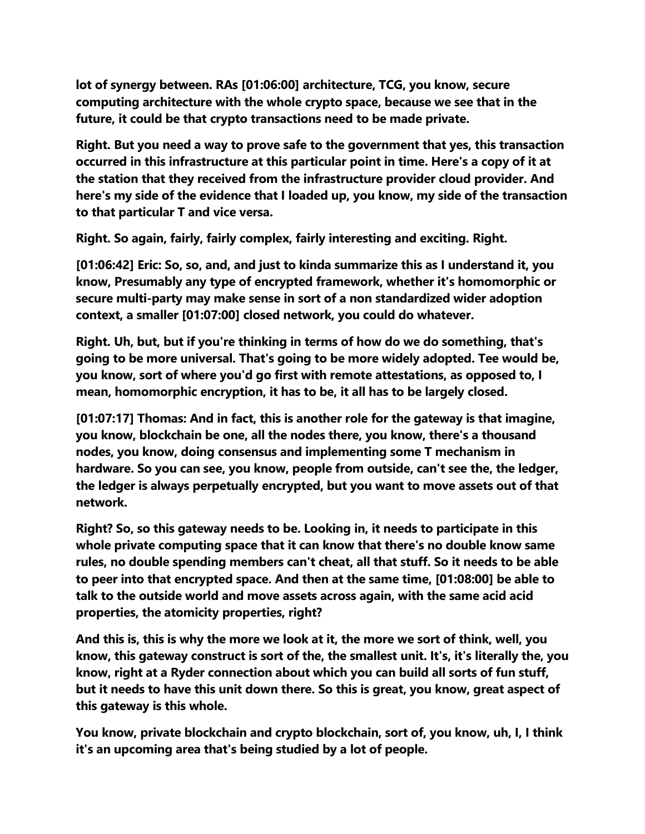**lot of synergy between. RAs [01:06:00] architecture, TCG, you know, secure computing architecture with the whole crypto space, because we see that in the future, it could be that crypto transactions need to be made private.**

**Right. But you need a way to prove safe to the government that yes, this transaction occurred in this infrastructure at this particular point in time. Here's a copy of it at the station that they received from the infrastructure provider cloud provider. And here's my side of the evidence that I loaded up, you know, my side of the transaction to that particular T and vice versa.**

**Right. So again, fairly, fairly complex, fairly interesting and exciting. Right.**

**[01:06:42] Eric: So, so, and, and just to kinda summarize this as I understand it, you know, Presumably any type of encrypted framework, whether it's homomorphic or secure multi-party may make sense in sort of a non standardized wider adoption context, a smaller [01:07:00] closed network, you could do whatever.**

**Right. Uh, but, but if you're thinking in terms of how do we do something, that's going to be more universal. That's going to be more widely adopted. Tee would be, you know, sort of where you'd go first with remote attestations, as opposed to, I mean, homomorphic encryption, it has to be, it all has to be largely closed.**

**[01:07:17] Thomas: And in fact, this is another role for the gateway is that imagine, you know, blockchain be one, all the nodes there, you know, there's a thousand nodes, you know, doing consensus and implementing some T mechanism in hardware. So you can see, you know, people from outside, can't see the, the ledger, the ledger is always perpetually encrypted, but you want to move assets out of that network.**

**Right? So, so this gateway needs to be. Looking in, it needs to participate in this whole private computing space that it can know that there's no double know same rules, no double spending members can't cheat, all that stuff. So it needs to be able to peer into that encrypted space. And then at the same time, [01:08:00] be able to talk to the outside world and move assets across again, with the same acid acid properties, the atomicity properties, right?**

**And this is, this is why the more we look at it, the more we sort of think, well, you know, this gateway construct is sort of the, the smallest unit. It's, it's literally the, you know, right at a Ryder connection about which you can build all sorts of fun stuff, but it needs to have this unit down there. So this is great, you know, great aspect of this gateway is this whole.**

**You know, private blockchain and crypto blockchain, sort of, you know, uh, I, I think it's an upcoming area that's being studied by a lot of people.**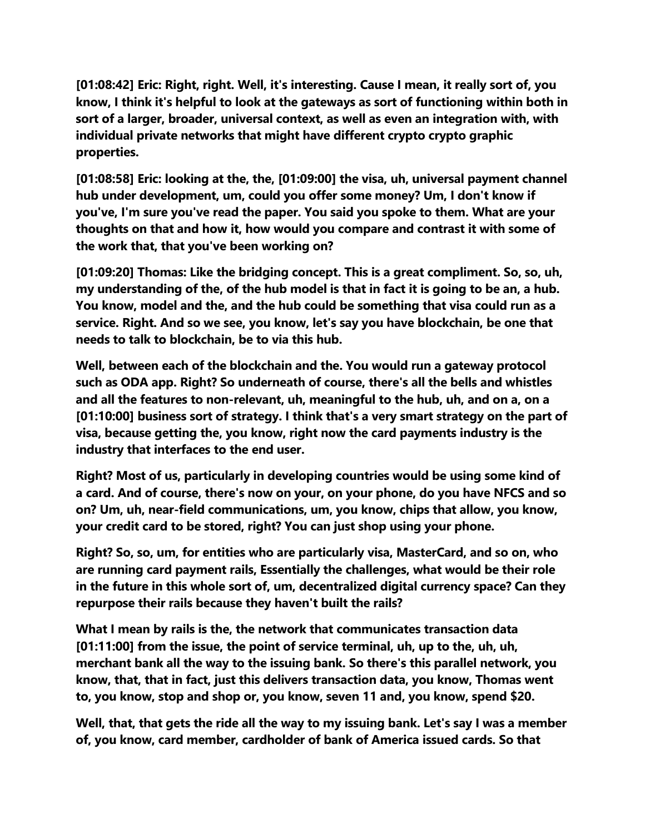**[01:08:42] Eric: Right, right. Well, it's interesting. Cause I mean, it really sort of, you know, I think it's helpful to look at the gateways as sort of functioning within both in sort of a larger, broader, universal context, as well as even an integration with, with individual private networks that might have different crypto crypto graphic properties.**

**[01:08:58] Eric: looking at the, the, [01:09:00] the visa, uh, universal payment channel hub under development, um, could you offer some money? Um, I don't know if you've, I'm sure you've read the paper. You said you spoke to them. What are your thoughts on that and how it, how would you compare and contrast it with some of the work that, that you've been working on?**

**[01:09:20] Thomas: Like the bridging concept. This is a great compliment. So, so, uh, my understanding of the, of the hub model is that in fact it is going to be an, a hub. You know, model and the, and the hub could be something that visa could run as a service. Right. And so we see, you know, let's say you have blockchain, be one that needs to talk to blockchain, be to via this hub.**

**Well, between each of the blockchain and the. You would run a gateway protocol such as ODA app. Right? So underneath of course, there's all the bells and whistles and all the features to non-relevant, uh, meaningful to the hub, uh, and on a, on a [01:10:00] business sort of strategy. I think that's a very smart strategy on the part of visa, because getting the, you know, right now the card payments industry is the industry that interfaces to the end user.**

**Right? Most of us, particularly in developing countries would be using some kind of a card. And of course, there's now on your, on your phone, do you have NFCS and so on? Um, uh, near-field communications, um, you know, chips that allow, you know, your credit card to be stored, right? You can just shop using your phone.**

**Right? So, so, um, for entities who are particularly visa, MasterCard, and so on, who are running card payment rails, Essentially the challenges, what would be their role in the future in this whole sort of, um, decentralized digital currency space? Can they repurpose their rails because they haven't built the rails?**

**What I mean by rails is the, the network that communicates transaction data [01:11:00] from the issue, the point of service terminal, uh, up to the, uh, uh, merchant bank all the way to the issuing bank. So there's this parallel network, you know, that, that in fact, just this delivers transaction data, you know, Thomas went to, you know, stop and shop or, you know, seven 11 and, you know, spend \$20.**

**Well, that, that gets the ride all the way to my issuing bank. Let's say I was a member of, you know, card member, cardholder of bank of America issued cards. So that**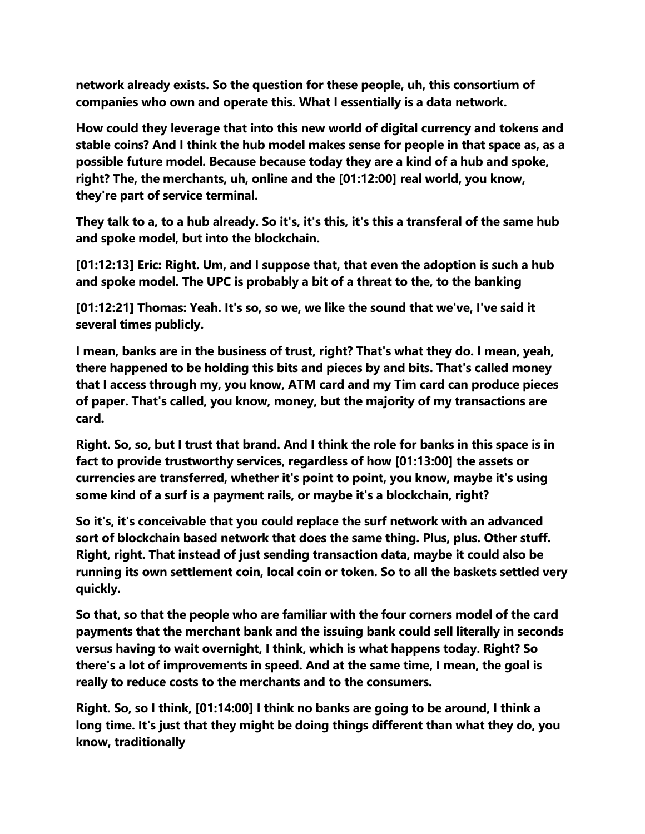**network already exists. So the question for these people, uh, this consortium of companies who own and operate this. What I essentially is a data network.**

**How could they leverage that into this new world of digital currency and tokens and stable coins? And I think the hub model makes sense for people in that space as, as a possible future model. Because because today they are a kind of a hub and spoke, right? The, the merchants, uh, online and the [01:12:00] real world, you know, they're part of service terminal.**

**They talk to a, to a hub already. So it's, it's this, it's this a transferal of the same hub and spoke model, but into the blockchain.**

**[01:12:13] Eric: Right. Um, and I suppose that, that even the adoption is such a hub and spoke model. The UPC is probably a bit of a threat to the, to the banking**

**[01:12:21] Thomas: Yeah. It's so, so we, we like the sound that we've, I've said it several times publicly.**

**I mean, banks are in the business of trust, right? That's what they do. I mean, yeah, there happened to be holding this bits and pieces by and bits. That's called money that I access through my, you know, ATM card and my Tim card can produce pieces of paper. That's called, you know, money, but the majority of my transactions are card.**

**Right. So, so, but I trust that brand. And I think the role for banks in this space is in fact to provide trustworthy services, regardless of how [01:13:00] the assets or currencies are transferred, whether it's point to point, you know, maybe it's using some kind of a surf is a payment rails, or maybe it's a blockchain, right?**

**So it's, it's conceivable that you could replace the surf network with an advanced sort of blockchain based network that does the same thing. Plus, plus. Other stuff. Right, right. That instead of just sending transaction data, maybe it could also be running its own settlement coin, local coin or token. So to all the baskets settled very quickly.**

**So that, so that the people who are familiar with the four corners model of the card payments that the merchant bank and the issuing bank could sell literally in seconds versus having to wait overnight, I think, which is what happens today. Right? So there's a lot of improvements in speed. And at the same time, I mean, the goal is really to reduce costs to the merchants and to the consumers.**

**Right. So, so I think, [01:14:00] I think no banks are going to be around, I think a long time. It's just that they might be doing things different than what they do, you know, traditionally**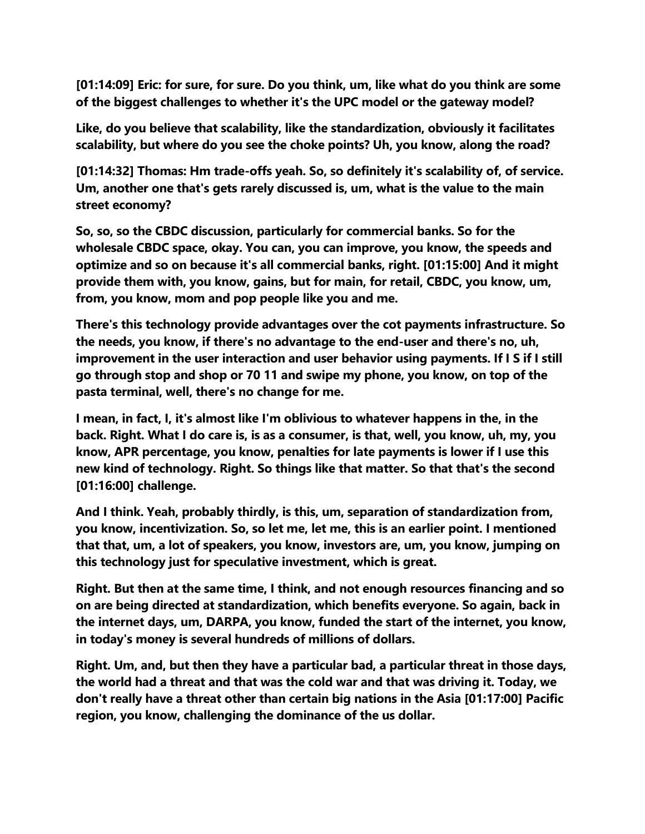**[01:14:09] Eric: for sure, for sure. Do you think, um, like what do you think are some of the biggest challenges to whether it's the UPC model or the gateway model?**

**Like, do you believe that scalability, like the standardization, obviously it facilitates scalability, but where do you see the choke points? Uh, you know, along the road?**

**[01:14:32] Thomas: Hm trade-offs yeah. So, so definitely it's scalability of, of service. Um, another one that's gets rarely discussed is, um, what is the value to the main street economy?**

**So, so, so the CBDC discussion, particularly for commercial banks. So for the wholesale CBDC space, okay. You can, you can improve, you know, the speeds and optimize and so on because it's all commercial banks, right. [01:15:00] And it might provide them with, you know, gains, but for main, for retail, CBDC, you know, um, from, you know, mom and pop people like you and me.**

**There's this technology provide advantages over the cot payments infrastructure. So the needs, you know, if there's no advantage to the end-user and there's no, uh, improvement in the user interaction and user behavior using payments. If I S if I still go through stop and shop or 70 11 and swipe my phone, you know, on top of the pasta terminal, well, there's no change for me.**

**I mean, in fact, I, it's almost like I'm oblivious to whatever happens in the, in the back. Right. What I do care is, is as a consumer, is that, well, you know, uh, my, you know, APR percentage, you know, penalties for late payments is lower if I use this new kind of technology. Right. So things like that matter. So that that's the second [01:16:00] challenge.**

**And I think. Yeah, probably thirdly, is this, um, separation of standardization from, you know, incentivization. So, so let me, let me, this is an earlier point. I mentioned that that, um, a lot of speakers, you know, investors are, um, you know, jumping on this technology just for speculative investment, which is great.**

**Right. But then at the same time, I think, and not enough resources financing and so on are being directed at standardization, which benefits everyone. So again, back in the internet days, um, DARPA, you know, funded the start of the internet, you know, in today's money is several hundreds of millions of dollars.**

**Right. Um, and, but then they have a particular bad, a particular threat in those days, the world had a threat and that was the cold war and that was driving it. Today, we don't really have a threat other than certain big nations in the Asia [01:17:00] Pacific region, you know, challenging the dominance of the us dollar.**